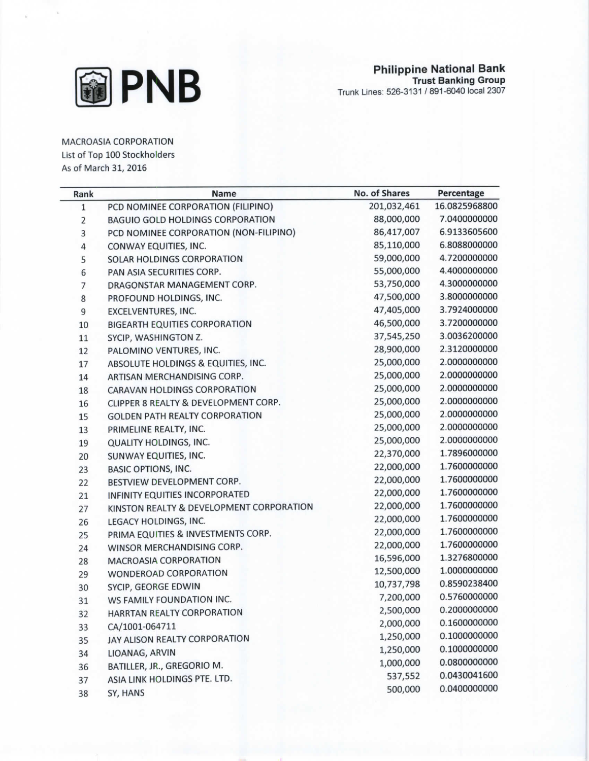

MACROASIA CORPORATION

List of Top 100 Stockholders

As of March 31, 2016

| Rank         | Name                                     | No. of Shares | Percentage    |
|--------------|------------------------------------------|---------------|---------------|
| $\mathbf{1}$ | PCD NOMINEE CORPORATION (FILIPINO)       | 201,032,461   | 16.0825968800 |
| 2            | <b>BAGUIO GOLD HOLDINGS CORPORATION</b>  | 88,000,000    | 7.0400000000  |
| 3            | PCD NOMINEE CORPORATION (NON-FILIPINO)   | 86,417,007    | 6.9133605600  |
| 4            | CONWAY EQUITIES, INC.                    | 85,110,000    | 6.8088000000  |
| 5            | SOLAR HOLDINGS CORPORATION               | 59,000,000    | 4.7200000000  |
| 6            | PAN ASIA SECURITIES CORP.                | 55,000,000    | 4.4000000000  |
| 7            | DRAGONSTAR MANAGEMENT CORP.              | 53,750,000    | 4.3000000000  |
| 8            | PROFOUND HOLDINGS, INC.                  | 47,500,000    | 3.8000000000  |
| 9            | EXCELVENTURES, INC.                      | 47,405,000    | 3.7924000000  |
| 10           | <b>BIGEARTH EQUITIES CORPORATION</b>     | 46,500,000    | 3.7200000000  |
| 11           | SYCIP, WASHINGTON Z.                     | 37,545,250    | 3.0036200000  |
| 12           | PALOMINO VENTURES, INC.                  | 28,900,000    | 2.3120000000  |
| 17           | ABSOLUTE HOLDINGS & EQUITIES, INC.       | 25,000,000    | 2.0000000000  |
| 14           | ARTISAN MERCHANDISING CORP.              | 25,000,000    | 2.0000000000  |
| 18           | CARAVAN HOLDINGS CORPORATION             | 25,000,000    | 2.0000000000  |
| 16           | CLIPPER 8 REALTY & DEVELOPMENT CORP.     | 25,000,000    | 2.0000000000  |
| 15           | <b>GOLDEN PATH REALTY CORPORATION</b>    | 25,000,000    | 2.0000000000  |
| 13           | PRIMELINE REALTY, INC.                   | 25,000,000    | 2.0000000000  |
| 19           | <b>QUALITY HOLDINGS, INC.</b>            | 25,000,000    | 2.0000000000  |
| 20           | SUNWAY EQUITIES, INC.                    | 22,370,000    | 1.7896000000  |
| 23           | <b>BASIC OPTIONS, INC.</b>               | 22,000,000    | 1.7600000000  |
| 22           | BESTVIEW DEVELOPMENT CORP.               | 22,000,000    | 1.7600000000  |
| 21           | INFINITY EQUITIES INCORPORATED           | 22,000,000    | 1.7600000000  |
| 27           | KINSTON REALTY & DEVELOPMENT CORPORATION | 22,000,000    | 1.7600000000  |
| 26           | LEGACY HOLDINGS, INC.                    | 22,000,000    | 1.7600000000  |
| 25           | PRIMA EQUITIES & INVESTMENTS CORP.       | 22,000,000    | 1.7600000000  |
| 24           | WINSOR MERCHANDISING CORP.               | 22,000,000    | 1.7600000000  |
| 28           | <b>MACROASIA CORPORATION</b>             | 16,596,000    | 1.3276800000  |
| 29           | WONDEROAD CORPORATION                    | 12,500,000    | 1.0000000000  |
| 30           | SYCIP, GEORGE EDWIN                      | 10,737,798    | 0.8590238400  |
| 31           | WS FAMILY FOUNDATION INC.                | 7,200,000     | 0.5760000000  |
| 32           | HARRTAN REALTY CORPORATION               | 2,500,000     | 0.2000000000  |
| 33           | CA/1001-064711                           | 2,000,000     | 0.1600000000  |
| 35           | JAY ALISON REALTY CORPORATION            | 1,250,000     | 0.1000000000  |
| 34           | LIOANAG, ARVIN                           | 1,250,000     | 0.1000000000  |
| 36           | BATILLER, JR., GREGORIO M.               | 1,000,000     | 0.0800000000  |
| 37           | ASIA LINK HOLDINGS PTE. LTD.             | 537,552       | 0.0430041600  |
| 38           | SY, HANS                                 | 500,000       | 0.0400000000  |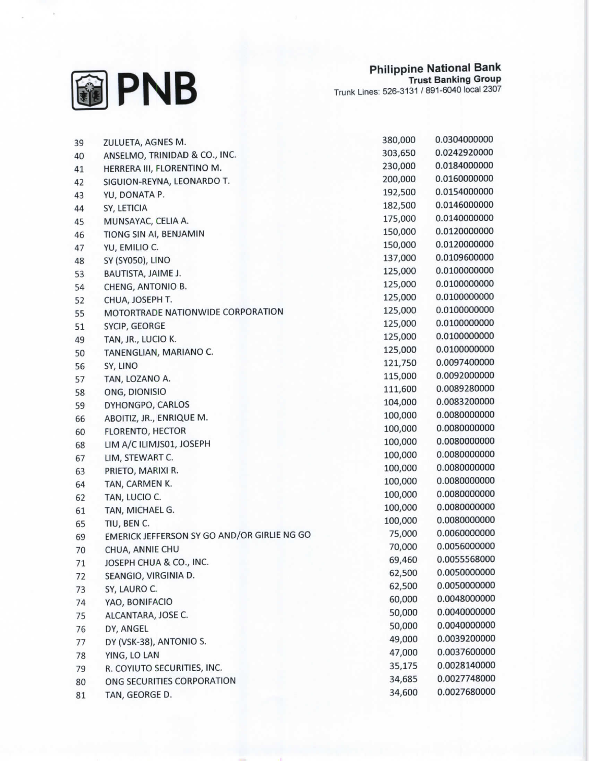

| 39 | ZULUETA, AGNES M.                           | 380,000 | 0.0304000000 |
|----|---------------------------------------------|---------|--------------|
| 40 | ANSELMO, TRINIDAD & CO., INC.               | 303,650 | 0.0242920000 |
| 41 | HERRERA III, FLORENTINO M.                  | 230,000 | 0.0184000000 |
| 42 | SIGUION-REYNA, LEONARDO T.                  | 200,000 | 0.0160000000 |
| 43 | YU, DONATA P.                               | 192,500 | 0.0154000000 |
| 44 | SY, LETICIA                                 | 182,500 | 0.0146000000 |
| 45 | MUNSAYAC, CELIA A.                          | 175,000 | 0.0140000000 |
| 46 | TIONG SIN AI, BENJAMIN                      | 150,000 | 0.0120000000 |
| 47 | YU, EMILIO C.                               | 150,000 | 0.0120000000 |
| 48 | SY (SY050), LINO                            | 137,000 | 0.0109600000 |
| 53 | BAUTISTA, JAIME J.                          | 125,000 | 0.0100000000 |
| 54 | CHENG, ANTONIO B.                           | 125,000 | 0.0100000000 |
| 52 | CHUA, JOSEPH T.                             | 125,000 | 0.0100000000 |
| 55 | MOTORTRADE NATIONWIDE CORPORATION           | 125,000 | 0.0100000000 |
| 51 | SYCIP, GEORGE                               | 125,000 | 0.0100000000 |
| 49 | TAN, JR., LUCIO K.                          | 125,000 | 0.0100000000 |
| 50 | TANENGLIAN, MARIANO C.                      | 125,000 | 0.0100000000 |
| 56 | SY, LINO                                    | 121,750 | 0.0097400000 |
| 57 | TAN, LOZANO A.                              | 115,000 | 0.0092000000 |
| 58 | ONG, DIONISIO                               | 111,600 | 0.0089280000 |
| 59 | DYHONGPO, CARLOS                            | 104,000 | 0.0083200000 |
| 66 | ABOITIZ, JR., ENRIQUE M.                    | 100,000 | 0.0080000000 |
| 60 | FLORENTO, HECTOR                            | 100,000 | 0.0080000000 |
| 68 | LIM A/C ILIMJS01, JOSEPH                    | 100,000 | 0.0080000000 |
| 67 | LIM, STEWART C.                             | 100,000 | 0.0080000000 |
| 63 | PRIETO, MARIXI R.                           | 100,000 | 0.0080000000 |
| 64 | TAN, CARMEN K.                              | 100,000 | 0.0080000000 |
| 62 | TAN, LUCIO C.                               | 100,000 | 0.0080000000 |
| 61 | TAN, MICHAEL G.                             | 100,000 | 0.0080000000 |
| 65 | TIU, BEN C.                                 | 100,000 | 0.0080000000 |
| 69 | EMERICK JEFFERSON SY GO AND/OR GIRLIE NG GO | 75,000  | 0.0060000000 |
| 70 | CHUA, ANNIE CHU                             | 70,000  | 0.0056000000 |
| 71 | JOSEPH CHUA & CO., INC.                     | 69,460  | 0.0055568000 |
| 72 | SEANGIO, VIRGINIA D.                        | 62,500  | 0.0050000000 |
| 73 | SY, LAURO C.                                | 62,500  | 0.0050000000 |
| 74 | YAO, BONIFACIO                              | 60,000  | 0.0048000000 |
| 75 | ALCANTARA, JOSE C.                          | 50,000  | 0.0040000000 |
| 76 | DY, ANGEL                                   | 50,000  | 0.0040000000 |
| 77 | DY (VSK-38), ANTONIO S.                     | 49,000  | 0.0039200000 |
| 78 | YING, LO LAN                                | 47,000  | 0.0037600000 |
| 79 | R. COYIUTO SECURITIES, INC.                 | 35,175  | 0.0028140000 |
| 80 | ONG SECURITIES CORPORATION                  | 34,685  | 0.0027748000 |
| 81 | TAN, GEORGE D.                              | 34,600  | 0.0027680000 |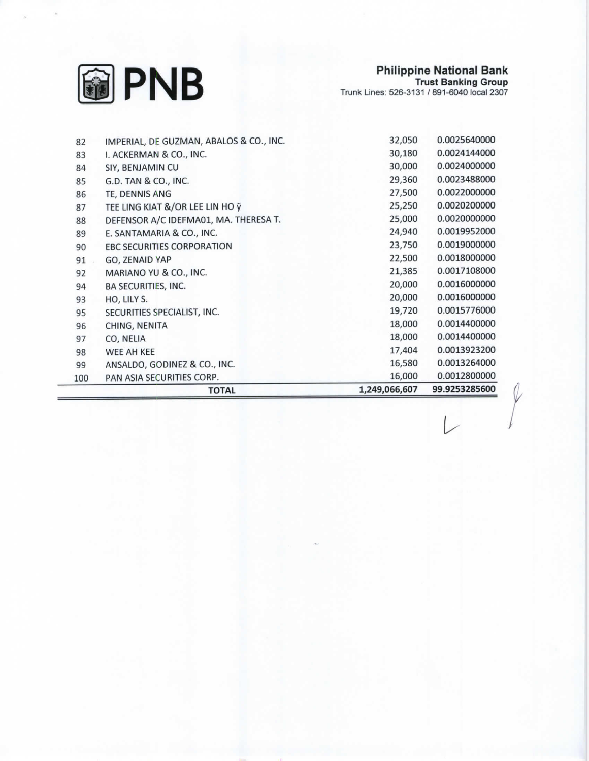

 $\varphi$ 

 $\overline{L}$ 

| 82  | IMPERIAL, DE GUZMAN, ABALOS & CO., INC. | 32,050        | 0.0025640000  |
|-----|-----------------------------------------|---------------|---------------|
| 83  | I. ACKERMAN & CO., INC.                 | 30,180        | 0.0024144000  |
| 84  | SIY, BENJAMIN CU                        | 30,000        | 0.0024000000  |
| 85  | G.D. TAN & CO., INC.                    | 29,360        | 0.0023488000  |
| 86  | TE, DENNIS ANG                          | 27,500        | 0.0022000000  |
| 87  | TEE LING KIAT &/OR LEE LIN HO ÿ         | 25,250        | 0.0020200000  |
| 88  | DEFENSOR A/C IDEFMA01, MA. THERESA T.   | 25,000        | 0.0020000000  |
| 89  | E. SANTAMARIA & CO., INC.               | 24,940        | 0.0019952000  |
| 90  | <b>EBC SECURITIES CORPORATION</b>       | 23,750        | 0.0019000000  |
| 91  | GO, ZENAID YAP                          | 22,500        | 0.0018000000  |
| 92  | MARIANO YU & CO., INC.                  | 21,385        | 0.0017108000  |
| 94  | <b>BA SECURITIES, INC.</b>              | 20,000        | 0.0016000000  |
| 93  | HO, LILY S.                             | 20,000        | 0.0016000000  |
| 95  | SECURITIES SPECIALIST, INC.             | 19,720        | 0.0015776000  |
| 96  | CHING, NENITA                           | 18,000        | 0.0014400000  |
| 97  | CO, NELIA                               | 18,000        | 0.0014400000  |
| 98  | WEE AH KEE                              | 17,404        | 0.0013923200  |
| 99  | ANSALDO, GODINEZ & CO., INC.            | 16,580        | 0.0013264000  |
| 100 | PAN ASIA SECURITIES CORP.               | 16,000        | 0.0012800000  |
|     | <b>TOTAL</b>                            | 1,249,066,607 | 99.9253285600 |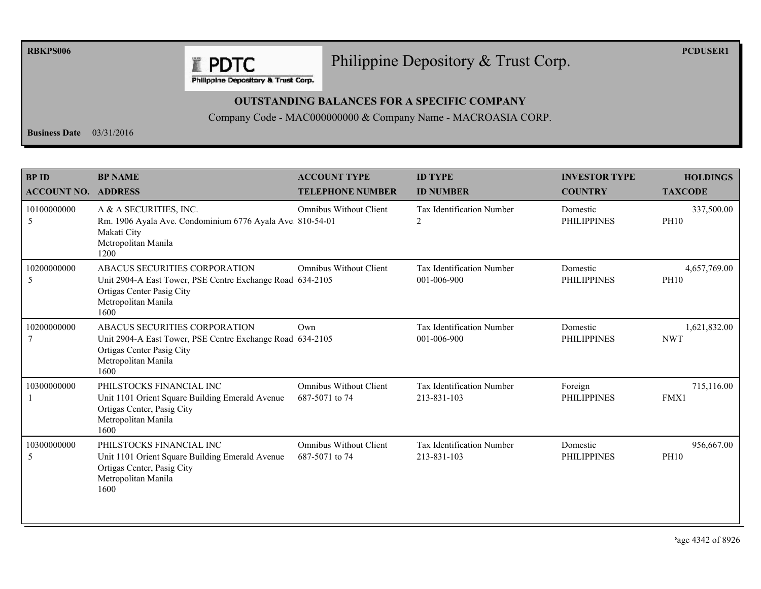**RBKPS006** 

## Philippine Depository & Trust Corp.

**PCDUSER1** 

Philippine Depository & Trust Corp.

**E PDTC** 

## **OUTSTANDING BALANCES FOR A SPECIFIC COMPANY**

Company Code - MAC000000000 & Company Name - MACROASIA CORP.

**Business Date**  $03/31/2016$ 

| <b>BPID</b><br><b>ACCOUNT NO. ADDRESS</b> | <b>BP NAME</b>                                                                                                                                         | <b>ACCOUNT TYPE</b><br><b>TELEPHONE NUMBER</b>  | <b>ID TYPE</b><br><b>ID NUMBER</b>              | <b>INVESTOR TYPE</b><br><b>COUNTRY</b> | <b>HOLDINGS</b><br><b>TAXCODE</b> |
|-------------------------------------------|--------------------------------------------------------------------------------------------------------------------------------------------------------|-------------------------------------------------|-------------------------------------------------|----------------------------------------|-----------------------------------|
| 10100000000<br>5                          | A & A SECURITIES, INC.<br>Rm. 1906 Ayala Ave. Condominium 6776 Ayala Ave. 810-54-01<br>Makati City<br>Metropolitan Manila<br>1200                      | <b>Omnibus Without Client</b>                   | <b>Tax Identification Number</b><br>2           | Domestic<br><b>PHILIPPINES</b>         | 337,500.00<br><b>PH10</b>         |
| 10200000000<br>5                          | ABACUS SECURITIES CORPORATION<br>Unit 2904-A East Tower, PSE Centre Exchange Road 634-2105<br>Ortigas Center Pasig City<br>Metropolitan Manila<br>1600 | <b>Omnibus Without Client</b>                   | Tax Identification Number<br>001-006-900        | Domestic<br><b>PHILIPPINES</b>         | 4,657,769.00<br><b>PH10</b>       |
| 10200000000                               | ABACUS SECURITIES CORPORATION<br>Unit 2904-A East Tower, PSE Centre Exchange Road 634-2105<br>Ortigas Center Pasig City<br>Metropolitan Manila<br>1600 | Own                                             | Tax Identification Number<br>001-006-900        | Domestic<br><b>PHILIPPINES</b>         | 1,621,832.00<br><b>NWT</b>        |
| 10300000000                               | PHILSTOCKS FINANCIAL INC<br>Unit 1101 Orient Square Building Emerald Avenue<br>Ortigas Center, Pasig City<br>Metropolitan Manila<br>1600               | <b>Omnibus Without Client</b><br>687-5071 to 74 | Tax Identification Number<br>213-831-103        | Foreign<br><b>PHILIPPINES</b>          | 715,116.00<br>FMX1                |
| 10300000000<br>5                          | PHILSTOCKS FINANCIAL INC<br>Unit 1101 Orient Square Building Emerald Avenue<br>Ortigas Center, Pasig City<br>Metropolitan Manila<br>1600               | <b>Omnibus Without Client</b><br>687-5071 to 74 | <b>Tax Identification Number</b><br>213-831-103 | Domestic<br><b>PHILIPPINES</b>         | 956,667.00<br><b>PH10</b>         |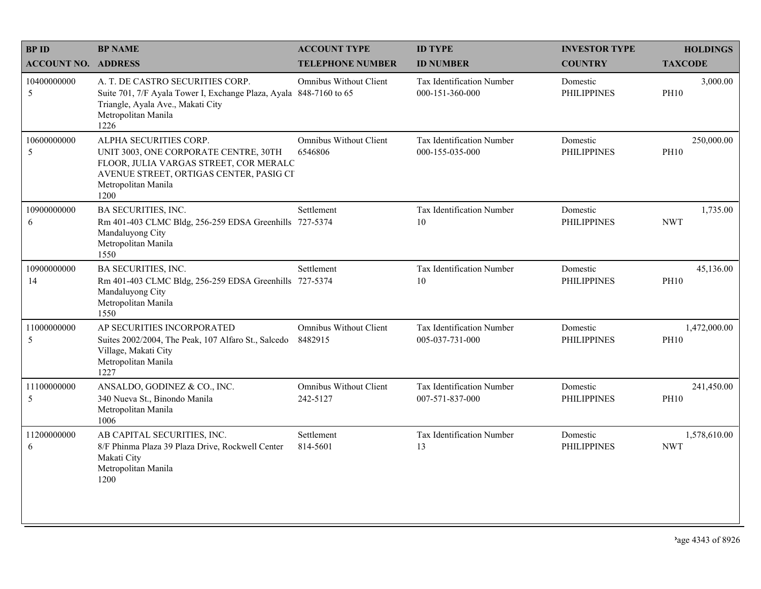| <b>BPID</b>                | <b>BP NAME</b>                                                                                                                                                                      | <b>ACCOUNT TYPE</b>                       | <b>ID TYPE</b>                               | <b>INVESTOR TYPE</b>           | <b>HOLDINGS</b>             |
|----------------------------|-------------------------------------------------------------------------------------------------------------------------------------------------------------------------------------|-------------------------------------------|----------------------------------------------|--------------------------------|-----------------------------|
| <b>ACCOUNT NO. ADDRESS</b> |                                                                                                                                                                                     | <b>TELEPHONE NUMBER</b>                   | <b>ID NUMBER</b>                             | <b>COUNTRY</b>                 | <b>TAXCODE</b>              |
| 10400000000<br>5           | A. T. DE CASTRO SECURITIES CORP.<br>Suite 701, 7/F Ayala Tower I, Exchange Plaza, Ayala 848-7160 to 65<br>Triangle, Ayala Ave., Makati City<br>Metropolitan Manila<br>1226          | <b>Omnibus Without Client</b>             | Tax Identification Number<br>000-151-360-000 | Domestic<br><b>PHILIPPINES</b> | 3,000.00<br><b>PH10</b>     |
| 10600000000<br>5           | ALPHA SECURITIES CORP.<br>UNIT 3003, ONE CORPORATE CENTRE, 30TH<br>FLOOR, JULIA VARGAS STREET, COR MERALC<br>AVENUE STREET, ORTIGAS CENTER, PASIG CI<br>Metropolitan Manila<br>1200 | <b>Omnibus Without Client</b><br>6546806  | Tax Identification Number<br>000-155-035-000 | Domestic<br><b>PHILIPPINES</b> | 250,000.00<br><b>PH10</b>   |
| 10900000000<br>6           | <b>BA SECURITIES, INC.</b><br>Rm 401-403 CLMC Bldg, 256-259 EDSA Greenhills 727-5374<br>Mandaluyong City<br>Metropolitan Manila<br>1550                                             | Settlement                                | Tax Identification Number<br>10              | Domestic<br><b>PHILIPPINES</b> | 1,735.00<br><b>NWT</b>      |
| 10900000000<br>14          | <b>BA SECURITIES, INC.</b><br>Rm 401-403 CLMC Bldg, 256-259 EDSA Greenhills 727-5374<br>Mandaluyong City<br>Metropolitan Manila<br>1550                                             | Settlement                                | Tax Identification Number<br>10              | Domestic<br><b>PHILIPPINES</b> | 45,136.00<br><b>PH10</b>    |
| 11000000000<br>5           | AP SECURITIES INCORPORATED<br>Suites 2002/2004, The Peak, 107 Alfaro St., Salcedo<br>Village, Makati City<br>Metropolitan Manila<br>1227                                            | <b>Omnibus Without Client</b><br>8482915  | Tax Identification Number<br>005-037-731-000 | Domestic<br><b>PHILIPPINES</b> | 1,472,000.00<br><b>PH10</b> |
| 11100000000<br>5           | ANSALDO, GODINEZ & CO., INC.<br>340 Nueva St., Binondo Manila<br>Metropolitan Manila<br>1006                                                                                        | <b>Omnibus Without Client</b><br>242-5127 | Tax Identification Number<br>007-571-837-000 | Domestic<br><b>PHILIPPINES</b> | 241,450.00<br><b>PH10</b>   |
| 11200000000<br>6           | AB CAPITAL SECURITIES, INC.<br>8/F Phinma Plaza 39 Plaza Drive, Rockwell Center<br>Makati City<br>Metropolitan Manila<br>1200                                                       | Settlement<br>814-5601                    | Tax Identification Number<br>13              | Domestic<br><b>PHILIPPINES</b> | 1,578,610.00<br><b>NWT</b>  |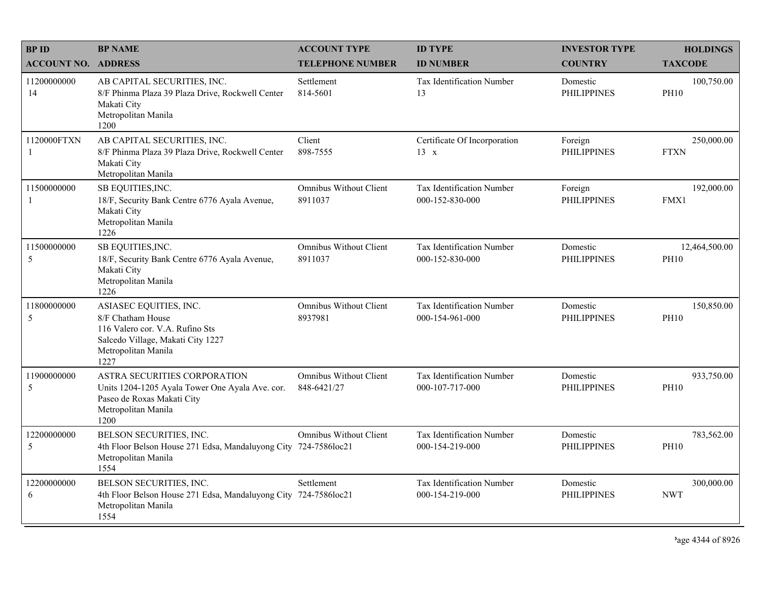| <b>BPID</b>                | <b>BP NAME</b>                                                                                                                                     | <b>ACCOUNT TYPE</b>                          | <b>ID TYPE</b>                               | <b>INVESTOR TYPE</b>           | <b>HOLDINGS</b>              |
|----------------------------|----------------------------------------------------------------------------------------------------------------------------------------------------|----------------------------------------------|----------------------------------------------|--------------------------------|------------------------------|
| <b>ACCOUNT NO. ADDRESS</b> |                                                                                                                                                    | <b>TELEPHONE NUMBER</b>                      | <b>ID NUMBER</b>                             | <b>COUNTRY</b>                 | <b>TAXCODE</b>               |
| 11200000000<br>14          | AB CAPITAL SECURITIES, INC.<br>8/F Phinma Plaza 39 Plaza Drive, Rockwell Center<br>Makati City<br>Metropolitan Manila<br>1200                      | Settlement<br>814-5601                       | Tax Identification Number<br>13              | Domestic<br><b>PHILIPPINES</b> | 100,750.00<br><b>PH10</b>    |
| 1120000FTXN<br>1           | AB CAPITAL SECURITIES, INC.<br>8/F Phinma Plaza 39 Plaza Drive, Rockwell Center<br>Makati City<br>Metropolitan Manila                              | Client<br>898-7555                           | Certificate Of Incorporation<br>$13 \times$  | Foreign<br><b>PHILIPPINES</b>  | 250,000.00<br><b>FTXN</b>    |
| 11500000000<br>-1          | SB EQUITIES, INC.<br>18/F, Security Bank Centre 6776 Ayala Avenue,<br>Makati City<br>Metropolitan Manila<br>1226                                   | <b>Omnibus Without Client</b><br>8911037     | Tax Identification Number<br>000-152-830-000 | Foreign<br><b>PHILIPPINES</b>  | 192,000.00<br>FMX1           |
| 11500000000<br>5           | SB EQUITIES, INC.<br>18/F, Security Bank Centre 6776 Ayala Avenue,<br>Makati City<br>Metropolitan Manila<br>1226                                   | <b>Omnibus Without Client</b><br>8911037     | Tax Identification Number<br>000-152-830-000 | Domestic<br><b>PHILIPPINES</b> | 12,464,500.00<br><b>PH10</b> |
| 11800000000<br>5           | ASIASEC EQUITIES, INC.<br>8/F Chatham House<br>116 Valero cor. V.A. Rufino Sts<br>Salcedo Village, Makati City 1227<br>Metropolitan Manila<br>1227 | <b>Omnibus Without Client</b><br>8937981     | Tax Identification Number<br>000-154-961-000 | Domestic<br><b>PHILIPPINES</b> | 150,850.00<br><b>PH10</b>    |
| 11900000000<br>5           | ASTRA SECURITIES CORPORATION<br>Units 1204-1205 Ayala Tower One Ayala Ave. cor.<br>Paseo de Roxas Makati City<br>Metropolitan Manila<br>1200       | <b>Omnibus Without Client</b><br>848-6421/27 | Tax Identification Number<br>000-107-717-000 | Domestic<br><b>PHILIPPINES</b> | 933,750.00<br><b>PH10</b>    |
| 12200000000<br>5           | BELSON SECURITIES, INC.<br>4th Floor Belson House 271 Edsa, Mandaluyong City 724-7586loc21<br>Metropolitan Manila<br>1554                          | <b>Omnibus Without Client</b>                | Tax Identification Number<br>000-154-219-000 | Domestic<br><b>PHILIPPINES</b> | 783,562.00<br><b>PH10</b>    |
| 12200000000<br>6           | BELSON SECURITIES, INC.<br>4th Floor Belson House 271 Edsa, Mandaluyong City 724-7586loc21<br>Metropolitan Manila<br>1554                          | Settlement                                   | Tax Identification Number<br>000-154-219-000 | Domestic<br><b>PHILIPPINES</b> | 300,000.00<br><b>NWT</b>     |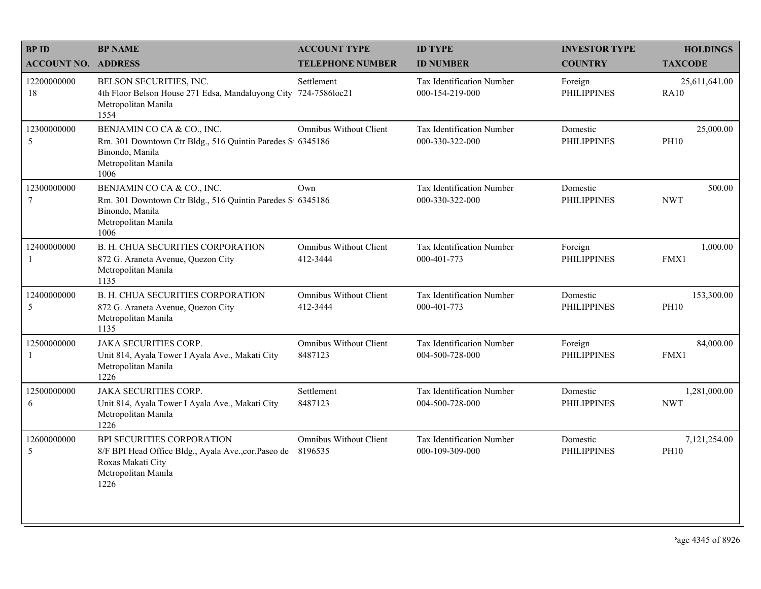| <b>BPID</b>                | <b>BP NAME</b>                                                                                                                             | <b>ACCOUNT TYPE</b>                       | <b>ID TYPE</b>                                      | <b>INVESTOR TYPE</b>           | <b>HOLDINGS</b>              |
|----------------------------|--------------------------------------------------------------------------------------------------------------------------------------------|-------------------------------------------|-----------------------------------------------------|--------------------------------|------------------------------|
| <b>ACCOUNT NO. ADDRESS</b> |                                                                                                                                            | <b>TELEPHONE NUMBER</b>                   | <b>ID NUMBER</b>                                    | <b>COUNTRY</b>                 | <b>TAXCODE</b>               |
| 12200000000<br>18          | BELSON SECURITIES, INC.<br>4th Floor Belson House 271 Edsa, Mandaluyong City<br>Metropolitan Manila<br>1554                                | Settlement<br>724-7586loc21               | <b>Tax Identification Number</b><br>000-154-219-000 | Foreign<br><b>PHILIPPINES</b>  | 25,611,641.00<br><b>RA10</b> |
| 12300000000<br>5           | BENJAMIN CO CA & CO., INC.<br>Rm. 301 Downtown Ctr Bldg., 516 Quintin Paredes St 6345186<br>Binondo, Manila<br>Metropolitan Manila<br>1006 | <b>Omnibus Without Client</b>             | Tax Identification Number<br>000-330-322-000        | Domestic<br><b>PHILIPPINES</b> | 25,000.00<br><b>PH10</b>     |
| 12300000000<br>$\tau$      | BENJAMIN CO CA & CO., INC.<br>Rm. 301 Downtown Ctr Bldg., 516 Quintin Paredes St 6345186<br>Binondo, Manila<br>Metropolitan Manila<br>1006 | Own                                       | Tax Identification Number<br>000-330-322-000        | Domestic<br><b>PHILIPPINES</b> | 500.00<br><b>NWT</b>         |
| 12400000000<br>-1          | <b>B. H. CHUA SECURITIES CORPORATION</b><br>872 G. Araneta Avenue, Quezon City<br>Metropolitan Manila<br>1135                              | <b>Omnibus Without Client</b><br>412-3444 | Tax Identification Number<br>000-401-773            | Foreign<br><b>PHILIPPINES</b>  | 1,000.00<br>FMX1             |
| 12400000000<br>5           | <b>B. H. CHUA SECURITIES CORPORATION</b><br>872 G. Araneta Avenue, Quezon City<br>Metropolitan Manila<br>1135                              | <b>Omnibus Without Client</b><br>412-3444 | Tax Identification Number<br>000-401-773            | Domestic<br><b>PHILIPPINES</b> | 153,300.00<br><b>PH10</b>    |
| 12500000000<br>-1          | <b>JAKA SECURITIES CORP.</b><br>Unit 814, Ayala Tower I Ayala Ave., Makati City<br>Metropolitan Manila<br>1226                             | <b>Omnibus Without Client</b><br>8487123  | Tax Identification Number<br>004-500-728-000        | Foreign<br><b>PHILIPPINES</b>  | 84,000.00<br>FMX1            |
| 12500000000<br>6           | <b>JAKA SECURITIES CORP.</b><br>Unit 814, Ayala Tower I Ayala Ave., Makati City<br>Metropolitan Manila<br>1226                             | Settlement<br>8487123                     | Tax Identification Number<br>004-500-728-000        | Domestic<br><b>PHILIPPINES</b> | 1,281,000.00<br><b>NWT</b>   |
| 12600000000<br>5           | BPI SECURITIES CORPORATION<br>8/F BPI Head Office Bldg., Ayala Ave., cor. Paseo de<br>Roxas Makati City<br>Metropolitan Manila<br>1226     | <b>Omnibus Without Client</b><br>8196535  | Tax Identification Number<br>000-109-309-000        | Domestic<br><b>PHILIPPINES</b> | 7,121,254.00<br><b>PH10</b>  |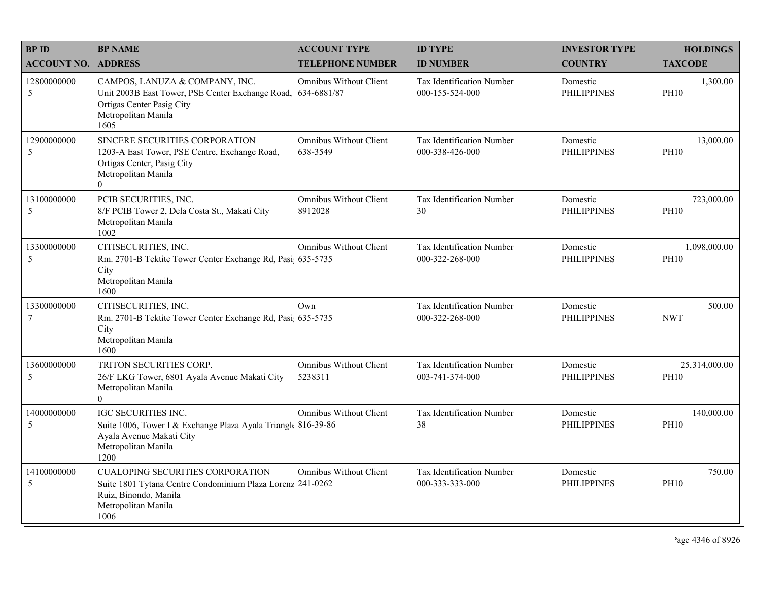| <b>BPID</b>                | <b>BP NAME</b>                                                                                                                                                | <b>ACCOUNT TYPE</b>                       | <b>ID TYPE</b>                                      | <b>INVESTOR TYPE</b>           | <b>HOLDINGS</b>              |
|----------------------------|---------------------------------------------------------------------------------------------------------------------------------------------------------------|-------------------------------------------|-----------------------------------------------------|--------------------------------|------------------------------|
| <b>ACCOUNT NO. ADDRESS</b> |                                                                                                                                                               | <b>TELEPHONE NUMBER</b>                   | <b>ID NUMBER</b>                                    | <b>COUNTRY</b>                 | <b>TAXCODE</b>               |
| 12800000000<br>5           | CAMPOS, LANUZA & COMPANY, INC.<br>Unit 2003B East Tower, PSE Center Exchange Road, 634-6881/87<br>Ortigas Center Pasig City<br>Metropolitan Manila<br>1605    | <b>Omnibus Without Client</b>             | <b>Tax Identification Number</b><br>000-155-524-000 | Domestic<br><b>PHILIPPINES</b> | 1,300.00<br><b>PH10</b>      |
| 12900000000<br>5           | SINCERE SECURITIES CORPORATION<br>1203-A East Tower, PSE Centre, Exchange Road,<br>Ortigas Center, Pasig City<br>Metropolitan Manila<br>$\overline{0}$        | <b>Omnibus Without Client</b><br>638-3549 | <b>Tax Identification Number</b><br>000-338-426-000 | Domestic<br><b>PHILIPPINES</b> | 13,000.00<br><b>PH10</b>     |
| 13100000000<br>5           | PCIB SECURITIES, INC.<br>8/F PCIB Tower 2, Dela Costa St., Makati City<br>Metropolitan Manila<br>1002                                                         | <b>Omnibus Without Client</b><br>8912028  | Tax Identification Number<br>30                     | Domestic<br>PHILIPPINES        | 723,000.00<br><b>PH10</b>    |
| 13300000000<br>5           | CITISECURITIES, INC.<br>Rm. 2701-B Tektite Tower Center Exchange Rd, Pasi; 635-5735<br>City<br>Metropolitan Manila<br>1600                                    | <b>Omnibus Without Client</b>             | Tax Identification Number<br>000-322-268-000        | Domestic<br><b>PHILIPPINES</b> | 1,098,000.00<br><b>PH10</b>  |
| 13300000000<br>7           | CITISECURITIES, INC.<br>Rm. 2701-B Tektite Tower Center Exchange Rd, Pasi; 635-5735<br>City<br>Metropolitan Manila<br>1600                                    | Own                                       | Tax Identification Number<br>000-322-268-000        | Domestic<br><b>PHILIPPINES</b> | 500.00<br><b>NWT</b>         |
| 13600000000<br>5           | TRITON SECURITIES CORP.<br>26/F LKG Tower, 6801 Ayala Avenue Makati City<br>Metropolitan Manila<br>$\overline{0}$                                             | <b>Omnibus Without Client</b><br>5238311  | Tax Identification Number<br>003-741-374-000        | Domestic<br><b>PHILIPPINES</b> | 25,314,000.00<br><b>PH10</b> |
| 14000000000<br>5           | <b>IGC SECURITIES INC.</b><br>Suite 1006, Tower I & Exchange Plaza Ayala Triangle 816-39-86<br>Ayala Avenue Makati City<br>Metropolitan Manila<br>1200        | <b>Omnibus Without Client</b>             | Tax Identification Number<br>38                     | Domestic<br><b>PHILIPPINES</b> | 140,000.00<br><b>PH10</b>    |
| 14100000000<br>5           | <b>CUALOPING SECURITIES CORPORATION</b><br>Suite 1801 Tytana Centre Condominium Plaza Lorenz 241-0262<br>Ruiz, Binondo, Manila<br>Metropolitan Manila<br>1006 | Omnibus Without Client                    | Tax Identification Number<br>000-333-333-000        | Domestic<br><b>PHILIPPINES</b> | 750.00<br><b>PH10</b>        |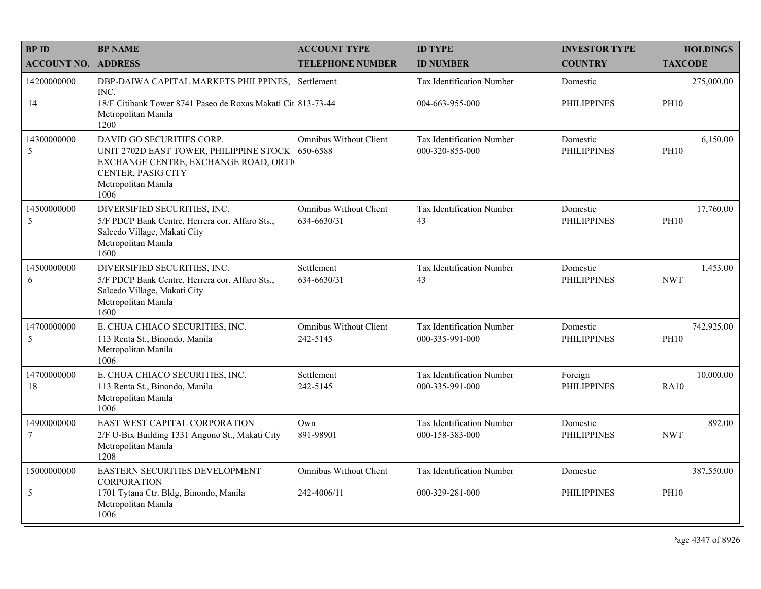| <b>BPID</b>                   | <b>BP NAME</b>                                                                                                                                                             | <b>ACCOUNT TYPE</b>                          | <b>ID TYPE</b>                                      | <b>INVESTOR TYPE</b>           | <b>HOLDINGS</b>           |
|-------------------------------|----------------------------------------------------------------------------------------------------------------------------------------------------------------------------|----------------------------------------------|-----------------------------------------------------|--------------------------------|---------------------------|
| <b>ACCOUNT NO. ADDRESS</b>    |                                                                                                                                                                            | <b>TELEPHONE NUMBER</b>                      | <b>ID NUMBER</b>                                    | <b>COUNTRY</b>                 | <b>TAXCODE</b>            |
| 14200000000<br>14             | DBP-DAIWA CAPITAL MARKETS PHILPPINES, Settlement<br>INC.<br>18/F Citibank Tower 8741 Paseo de Roxas Makati Cit 813-73-44<br>Metropolitan Manila                            |                                              | Tax Identification Number<br>004-663-955-000        | Domestic<br><b>PHILIPPINES</b> | 275,000.00<br><b>PH10</b> |
|                               | 1200                                                                                                                                                                       |                                              |                                                     |                                |                           |
| 14300000000<br>5              | DAVID GO SECURITIES CORP.<br>UNIT 2702D EAST TOWER, PHILIPPINE STOCK 650-6588<br>EXCHANGE CENTRE, EXCHANGE ROAD, ORTI<br>CENTER, PASIG CITY<br>Metropolitan Manila<br>1006 | <b>Omnibus Without Client</b>                | Tax Identification Number<br>000-320-855-000        | Domestic<br><b>PHILIPPINES</b> | 6,150.00<br><b>PH10</b>   |
| 14500000000<br>5              | DIVERSIFIED SECURITIES, INC.<br>5/F PDCP Bank Centre, Herrera cor. Alfaro Sts.,<br>Salcedo Village, Makati City<br>Metropolitan Manila<br>1600                             | <b>Omnibus Without Client</b><br>634-6630/31 | Tax Identification Number<br>43                     | Domestic<br><b>PHILIPPINES</b> | 17,760.00<br><b>PH10</b>  |
| 14500000000<br>6              | DIVERSIFIED SECURITIES, INC.<br>5/F PDCP Bank Centre, Herrera cor. Alfaro Sts.,<br>Salcedo Village, Makati City<br>Metropolitan Manila<br>1600                             | Settlement<br>634-6630/31                    | Tax Identification Number<br>43                     | Domestic<br><b>PHILIPPINES</b> | 1,453.00<br><b>NWT</b>    |
| 14700000000<br>5              | E. CHUA CHIACO SECURITIES, INC.<br>113 Renta St., Binondo, Manila<br>Metropolitan Manila<br>1006                                                                           | <b>Omnibus Without Client</b><br>242-5145    | Tax Identification Number<br>000-335-991-000        | Domestic<br><b>PHILIPPINES</b> | 742,925.00<br><b>PH10</b> |
| 14700000000<br>18             | E. CHUA CHIACO SECURITIES, INC.<br>113 Renta St., Binondo, Manila<br>Metropolitan Manila<br>1006                                                                           | Settlement<br>242-5145                       | <b>Tax Identification Number</b><br>000-335-991-000 | Foreign<br><b>PHILIPPINES</b>  | 10,000.00<br><b>RA10</b>  |
| 14900000000<br>$\overline{7}$ | EAST WEST CAPITAL CORPORATION<br>2/F U-Bix Building 1331 Angono St., Makati City<br>Metropolitan Manila<br>1208                                                            | Own<br>891-98901                             | Tax Identification Number<br>000-158-383-000        | Domestic<br><b>PHILIPPINES</b> | 892.00<br><b>NWT</b>      |
| 15000000000                   | EASTERN SECURITIES DEVELOPMENT<br><b>CORPORATION</b>                                                                                                                       | <b>Omnibus Without Client</b>                | Tax Identification Number                           | Domestic                       | 387,550.00                |
| 5                             | 1701 Tytana Ctr. Bldg, Binondo, Manila<br>Metropolitan Manila<br>1006                                                                                                      | 242-4006/11                                  | 000-329-281-000                                     | <b>PHILIPPINES</b>             | <b>PH10</b>               |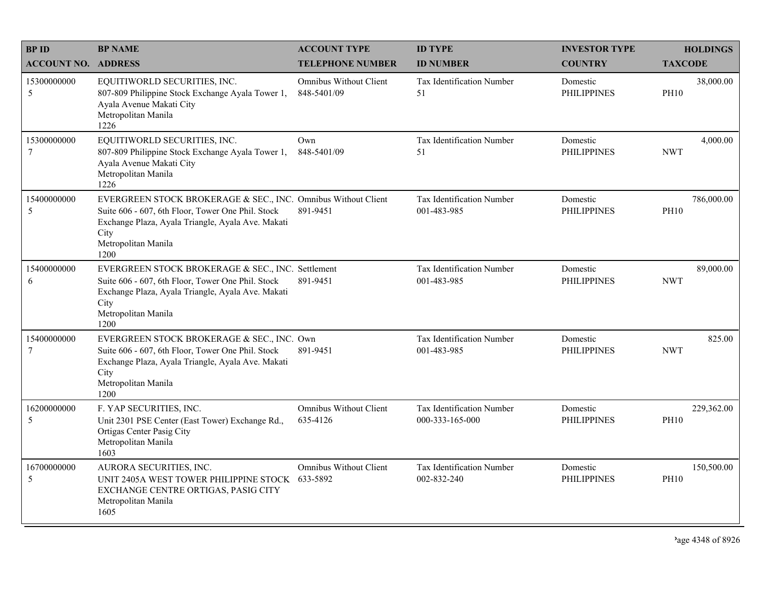| <b>BPID</b>                   | <b>BP NAME</b>                                                                                                                                                                                                 | <b>ACCOUNT TYPE</b>                          | <b>ID TYPE</b>                                  | <b>INVESTOR TYPE</b>           | <b>HOLDINGS</b>           |
|-------------------------------|----------------------------------------------------------------------------------------------------------------------------------------------------------------------------------------------------------------|----------------------------------------------|-------------------------------------------------|--------------------------------|---------------------------|
| <b>ACCOUNT NO.</b>            | <b>ADDRESS</b>                                                                                                                                                                                                 | <b>TELEPHONE NUMBER</b>                      | <b>ID NUMBER</b>                                | <b>COUNTRY</b>                 | <b>TAXCODE</b>            |
| 15300000000<br>5              | EQUITIWORLD SECURITIES, INC.<br>807-809 Philippine Stock Exchange Ayala Tower 1,<br>Ayala Avenue Makati City<br>Metropolitan Manila<br>1226                                                                    | <b>Omnibus Without Client</b><br>848-5401/09 | <b>Tax Identification Number</b><br>51          | Domestic<br><b>PHILIPPINES</b> | 38,000.00<br><b>PH10</b>  |
| 15300000000<br>$\overline{7}$ | EQUITIWORLD SECURITIES, INC.<br>807-809 Philippine Stock Exchange Ayala Tower 1,<br>Ayala Avenue Makati City<br>Metropolitan Manila<br>1226                                                                    | Own<br>848-5401/09                           | Tax Identification Number<br>51                 | Domestic<br><b>PHILIPPINES</b> | 4,000.00<br><b>NWT</b>    |
| 15400000000<br>5              | EVERGREEN STOCK BROKERAGE & SEC., INC. Omnibus Without Client<br>Suite 606 - 607, 6th Floor, Tower One Phil. Stock<br>Exchange Plaza, Ayala Triangle, Ayala Ave. Makati<br>City<br>Metropolitan Manila<br>1200 | 891-9451                                     | Tax Identification Number<br>001-483-985        | Domestic<br><b>PHILIPPINES</b> | 786,000.00<br><b>PH10</b> |
| 15400000000<br>6              | EVERGREEN STOCK BROKERAGE & SEC., INC. Settlement<br>Suite 606 - 607, 6th Floor, Tower One Phil. Stock<br>Exchange Plaza, Ayala Triangle, Ayala Ave. Makati<br>City<br>Metropolitan Manila<br>1200             | 891-9451                                     | <b>Tax Identification Number</b><br>001-483-985 | Domestic<br><b>PHILIPPINES</b> | 89,000.00<br><b>NWT</b>   |
| 15400000000<br>$\overline{7}$ | EVERGREEN STOCK BROKERAGE & SEC., INC. Own<br>Suite 606 - 607, 6th Floor, Tower One Phil. Stock<br>Exchange Plaza, Ayala Triangle, Ayala Ave. Makati<br>City<br>Metropolitan Manila<br>1200                    | 891-9451                                     | Tax Identification Number<br>001-483-985        | Domestic<br><b>PHILIPPINES</b> | 825.00<br><b>NWT</b>      |
| 16200000000<br>5              | F. YAP SECURITIES, INC.<br>Unit 2301 PSE Center (East Tower) Exchange Rd.,<br>Ortigas Center Pasig City<br>Metropolitan Manila<br>1603                                                                         | Omnibus Without Client<br>635-4126           | Tax Identification Number<br>000-333-165-000    | Domestic<br><b>PHILIPPINES</b> | 229,362.00<br><b>PH10</b> |
| 16700000000<br>5              | AURORA SECURITIES, INC.<br>UNIT 2405A WEST TOWER PHILIPPINE STOCK 633-5892<br>EXCHANGE CENTRE ORTIGAS, PASIG CITY<br>Metropolitan Manila<br>1605                                                               | <b>Omnibus Without Client</b>                | Tax Identification Number<br>002-832-240        | Domestic<br><b>PHILIPPINES</b> | 150,500.00<br><b>PH10</b> |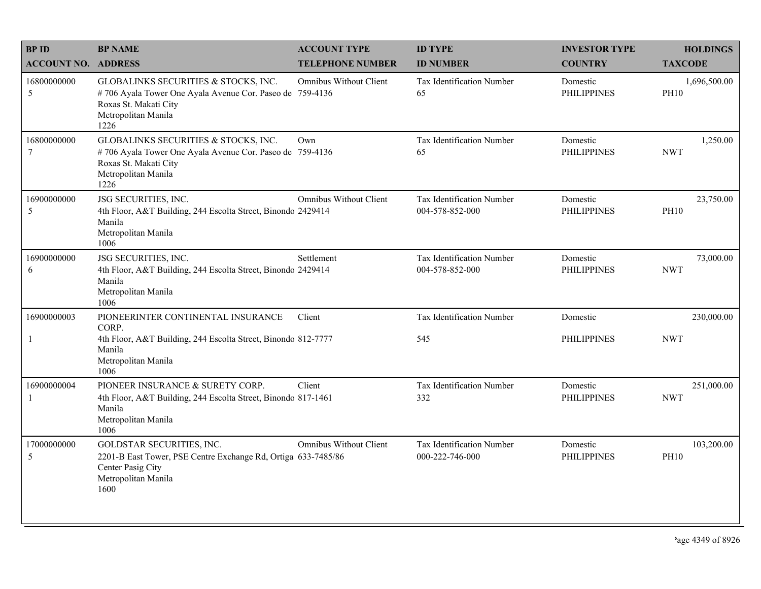| <b>BPID</b>                | <b>BP NAME</b>                                                                                                                                           | <b>ACCOUNT TYPE</b>           | <b>ID TYPE</b>                               | <b>INVESTOR TYPE</b>           | <b>HOLDINGS</b>             |
|----------------------------|----------------------------------------------------------------------------------------------------------------------------------------------------------|-------------------------------|----------------------------------------------|--------------------------------|-----------------------------|
| <b>ACCOUNT NO. ADDRESS</b> |                                                                                                                                                          | <b>TELEPHONE NUMBER</b>       | <b>ID NUMBER</b>                             | <b>COUNTRY</b>                 | <b>TAXCODE</b>              |
| 16800000000<br>5           | GLOBALINKS SECURITIES & STOCKS, INC.<br>#706 Ayala Tower One Ayala Avenue Cor. Paseo de 759-4136<br>Roxas St. Makati City<br>Metropolitan Manila<br>1226 | <b>Omnibus Without Client</b> | Tax Identification Number<br>65              | Domestic<br><b>PHILIPPINES</b> | 1,696,500.00<br><b>PH10</b> |
| 16800000000<br>7           | GLOBALINKS SECURITIES & STOCKS, INC.<br>#706 Ayala Tower One Ayala Avenue Cor. Paseo de 759-4136<br>Roxas St. Makati City<br>Metropolitan Manila<br>1226 | Own                           | Tax Identification Number<br>65              | Domestic<br><b>PHILIPPINES</b> | 1,250.00<br><b>NWT</b>      |
| 16900000000<br>5           | JSG SECURITIES, INC.<br>4th Floor, A&T Building, 244 Escolta Street, Binondo 2429414<br>Manila<br>Metropolitan Manila<br>1006                            | <b>Omnibus Without Client</b> | Tax Identification Number<br>004-578-852-000 | Domestic<br><b>PHILIPPINES</b> | 23,750.00<br><b>PH10</b>    |
| 16900000000<br>6           | JSG SECURITIES, INC.<br>4th Floor, A&T Building, 244 Escolta Street, Binondo 2429414<br>Manila<br>Metropolitan Manila<br>1006                            | Settlement                    | Tax Identification Number<br>004-578-852-000 | Domestic<br><b>PHILIPPINES</b> | 73,000.00<br><b>NWT</b>     |
| 16900000003                | PIONEERINTER CONTINENTAL INSURANCE<br>CORP.                                                                                                              | Client                        | Tax Identification Number                    | Domestic                       | 230,000.00                  |
| $\mathbf{1}$               | 4th Floor, A&T Building, 244 Escolta Street, Binondo 812-7777<br>Manila<br>Metropolitan Manila<br>1006                                                   |                               | 545                                          | <b>PHILIPPINES</b>             | <b>NWT</b>                  |
| 16900000004                | PIONEER INSURANCE & SURETY CORP.<br>4th Floor, A&T Building, 244 Escolta Street, Binondo 817-1461<br>Manila<br>Metropolitan Manila<br>1006               | Client                        | Tax Identification Number<br>332             | Domestic<br><b>PHILIPPINES</b> | 251,000.00<br><b>NWT</b>    |
| 17000000000<br>5           | GOLDSTAR SECURITIES, INC.<br>2201-B East Tower, PSE Centre Exchange Rd, Ortiga 633-7485/86<br>Center Pasig City<br>Metropolitan Manila<br>1600           | <b>Omnibus Without Client</b> | Tax Identification Number<br>000-222-746-000 | Domestic<br><b>PHILIPPINES</b> | 103,200.00<br><b>PH10</b>   |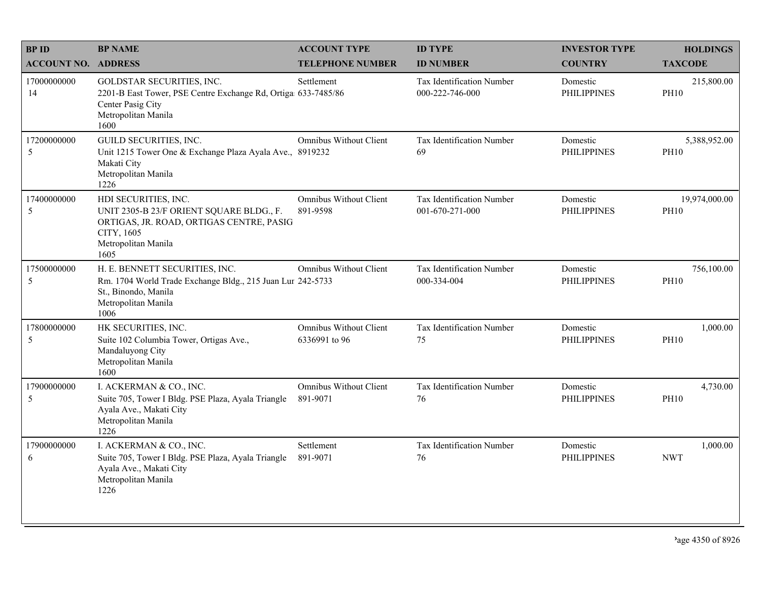| <b>BPID</b>                | <b>BP NAME</b>                                                                                                                                            | <b>ACCOUNT TYPE</b>                            | <b>ID TYPE</b>                               | <b>INVESTOR TYPE</b>           | <b>HOLDINGS</b>              |
|----------------------------|-----------------------------------------------------------------------------------------------------------------------------------------------------------|------------------------------------------------|----------------------------------------------|--------------------------------|------------------------------|
| <b>ACCOUNT NO. ADDRESS</b> |                                                                                                                                                           | <b>TELEPHONE NUMBER</b>                        | <b>ID NUMBER</b>                             | <b>COUNTRY</b>                 | <b>TAXCODE</b>               |
| 17000000000<br>14          | GOLDSTAR SECURITIES, INC.<br>2201-B East Tower, PSE Centre Exchange Rd, Ortiga 633-7485/86<br>Center Pasig City<br>Metropolitan Manila<br>1600            | Settlement                                     | Tax Identification Number<br>000-222-746-000 | Domestic<br><b>PHILIPPINES</b> | 215,800.00<br><b>PH10</b>    |
| 17200000000<br>5           | GUILD SECURITIES, INC.<br>Unit 1215 Tower One & Exchange Plaza Ayala Ave., 8919232<br>Makati City<br>Metropolitan Manila<br>1226                          | <b>Omnibus Without Client</b>                  | Tax Identification Number<br>69              | Domestic<br><b>PHILIPPINES</b> | 5,388,952.00<br><b>PH10</b>  |
| 17400000000<br>5           | HDI SECURITIES, INC.<br>UNIT 2305-B 23/F ORIENT SQUARE BLDG., F.<br>ORTIGAS, JR. ROAD, ORTIGAS CENTRE, PASIG<br>CITY, 1605<br>Metropolitan Manila<br>1605 | <b>Omnibus Without Client</b><br>891-9598      | Tax Identification Number<br>001-670-271-000 | Domestic<br><b>PHILIPPINES</b> | 19,974,000.00<br><b>PH10</b> |
| 17500000000<br>5           | H. E. BENNETT SECURITIES, INC.<br>Rm. 1704 World Trade Exchange Bldg., 215 Juan Lur 242-5733<br>St., Binondo, Manila<br>Metropolitan Manila<br>1006       | Omnibus Without Client                         | Tax Identification Number<br>000-334-004     | Domestic<br><b>PHILIPPINES</b> | 756,100.00<br><b>PH10</b>    |
| 17800000000<br>5           | HK SECURITIES, INC.<br>Suite 102 Columbia Tower, Ortigas Ave.,<br>Mandaluyong City<br>Metropolitan Manila<br>1600                                         | <b>Omnibus Without Client</b><br>6336991 to 96 | Tax Identification Number<br>75              | Domestic<br><b>PHILIPPINES</b> | 1,000.00<br><b>PH10</b>      |
| 17900000000<br>5           | I. ACKERMAN & CO., INC.<br>Suite 705, Tower I Bldg. PSE Plaza, Ayala Triangle<br>Ayala Ave., Makati City<br>Metropolitan Manila<br>1226                   | <b>Omnibus Without Client</b><br>891-9071      | Tax Identification Number<br>76              | Domestic<br><b>PHILIPPINES</b> | 4,730.00<br><b>PH10</b>      |
| 17900000000<br>6           | I. ACKERMAN & CO., INC.<br>Suite 705, Tower I Bldg. PSE Plaza, Ayala Triangle<br>Ayala Ave., Makati City<br>Metropolitan Manila<br>1226                   | Settlement<br>891-9071                         | Tax Identification Number<br>76              | Domestic<br><b>PHILIPPINES</b> | 1,000.00<br><b>NWT</b>       |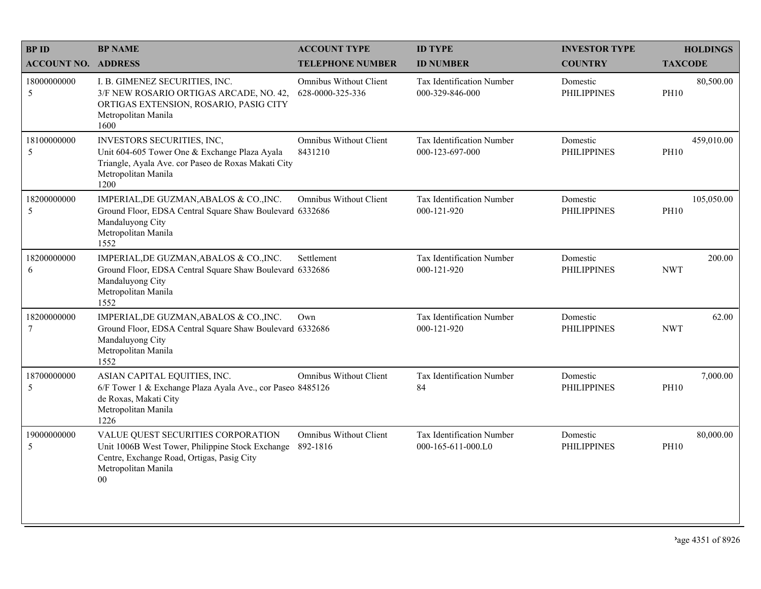| <b>BPID</b>                | <b>BP NAME</b>                                                                                                                                                        | <b>ACCOUNT TYPE</b>                               | <b>ID TYPE</b>                                  | <b>INVESTOR TYPE</b>           | <b>HOLDINGS</b>           |
|----------------------------|-----------------------------------------------------------------------------------------------------------------------------------------------------------------------|---------------------------------------------------|-------------------------------------------------|--------------------------------|---------------------------|
| <b>ACCOUNT NO. ADDRESS</b> |                                                                                                                                                                       | <b>TELEPHONE NUMBER</b>                           | <b>ID NUMBER</b>                                | <b>COUNTRY</b>                 | <b>TAXCODE</b>            |
| 18000000000<br>5           | I. B. GIMENEZ SECURITIES, INC.<br>3/F NEW ROSARIO ORTIGAS ARCADE, NO. 42,<br>ORTIGAS EXTENSION, ROSARIO, PASIG CITY<br>Metropolitan Manila<br>1600                    | <b>Omnibus Without Client</b><br>628-0000-325-336 | Tax Identification Number<br>000-329-846-000    | Domestic<br><b>PHILIPPINES</b> | 80,500.00<br><b>PH10</b>  |
| 18100000000<br>5           | INVESTORS SECURITIES, INC,<br>Unit 604-605 Tower One & Exchange Plaza Ayala<br>Triangle, Ayala Ave. cor Paseo de Roxas Makati City<br>Metropolitan Manila<br>1200     | Omnibus Without Client<br>8431210                 | Tax Identification Number<br>000-123-697-000    | Domestic<br><b>PHILIPPINES</b> | 459,010.00<br><b>PH10</b> |
| 18200000000<br>5           | IMPERIAL, DE GUZMAN, ABALOS & CO., INC.<br>Ground Floor, EDSA Central Square Shaw Boulevard 6332686<br>Mandaluyong City<br>Metropolitan Manila<br>1552                | <b>Omnibus Without Client</b>                     | Tax Identification Number<br>000-121-920        | Domestic<br><b>PHILIPPINES</b> | 105,050.00<br><b>PH10</b> |
| 18200000000<br>6           | IMPERIAL, DE GUZMAN, ABALOS & CO., INC.<br>Ground Floor, EDSA Central Square Shaw Boulevard 6332686<br>Mandaluyong City<br>Metropolitan Manila<br>1552                | Settlement                                        | Tax Identification Number<br>000-121-920        | Domestic<br><b>PHILIPPINES</b> | 200.00<br><b>NWT</b>      |
| 18200000000<br>$\tau$      | IMPERIAL, DE GUZMAN, ABALOS & CO., INC.<br>Ground Floor, EDSA Central Square Shaw Boulevard 6332686<br>Mandaluyong City<br>Metropolitan Manila<br>1552                | Own                                               | Tax Identification Number<br>000-121-920        | Domestic<br><b>PHILIPPINES</b> | 62.00<br><b>NWT</b>       |
| 18700000000<br>5           | ASIAN CAPITAL EQUITIES, INC.<br>6/F Tower 1 & Exchange Plaza Ayala Ave., cor Paseo 8485126<br>de Roxas, Makati City<br>Metropolitan Manila<br>1226                    | <b>Omnibus Without Client</b>                     | Tax Identification Number<br>84                 | Domestic<br><b>PHILIPPINES</b> | 7,000.00<br><b>PH10</b>   |
| 19000000000<br>5           | VALUE QUEST SECURITIES CORPORATION<br>Unit 1006B West Tower, Philippine Stock Exchange<br>Centre, Exchange Road, Ortigas, Pasig City<br>Metropolitan Manila<br>$00\,$ | <b>Omnibus Without Client</b><br>892-1816         | Tax Identification Number<br>000-165-611-000.L0 | Domestic<br><b>PHILIPPINES</b> | 80,000.00<br><b>PH10</b>  |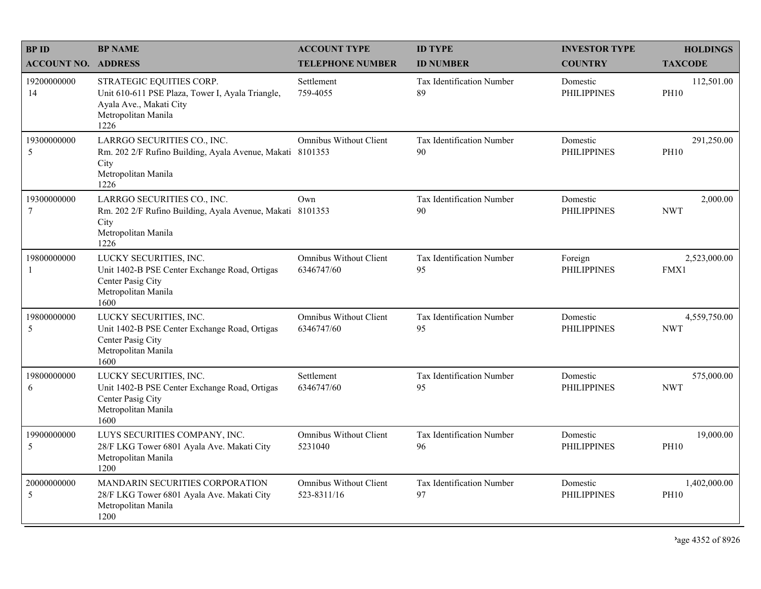| <b>BPID</b>                   | <b>BP NAME</b>                                                                                                                         | <b>ACCOUNT TYPE</b>                          | <b>ID TYPE</b>                         | <b>INVESTOR TYPE</b>           | <b>HOLDINGS</b>             |
|-------------------------------|----------------------------------------------------------------------------------------------------------------------------------------|----------------------------------------------|----------------------------------------|--------------------------------|-----------------------------|
| <b>ACCOUNT NO. ADDRESS</b>    |                                                                                                                                        | <b>TELEPHONE NUMBER</b>                      | <b>ID NUMBER</b>                       | <b>COUNTRY</b>                 | <b>TAXCODE</b>              |
| 19200000000<br>14             | STRATEGIC EQUITIES CORP.<br>Unit 610-611 PSE Plaza, Tower I, Ayala Triangle,<br>Ayala Ave., Makati City<br>Metropolitan Manila<br>1226 | Settlement<br>759-4055                       | <b>Tax Identification Number</b><br>89 | Domestic<br><b>PHILIPPINES</b> | 112,501.00<br><b>PH10</b>   |
| 19300000000<br>5              | LARRGO SECURITIES CO., INC.<br>Rm. 202 2/F Rufino Building, Ayala Avenue, Makati 8101353<br>City<br>Metropolitan Manila<br>1226        | <b>Omnibus Without Client</b>                | Tax Identification Number<br>90        | Domestic<br><b>PHILIPPINES</b> | 291,250.00<br><b>PH10</b>   |
| 19300000000<br>$\overline{7}$ | LARRGO SECURITIES CO., INC.<br>Rm. 202 2/F Rufino Building, Ayala Avenue, Makati 8101353<br>City<br>Metropolitan Manila<br>1226        | Own                                          | Tax Identification Number<br>90        | Domestic<br><b>PHILIPPINES</b> | 2,000.00<br><b>NWT</b>      |
| 19800000000<br>-1             | LUCKY SECURITIES, INC.<br>Unit 1402-B PSE Center Exchange Road, Ortigas<br>Center Pasig City<br>Metropolitan Manila<br>1600            | <b>Omnibus Without Client</b><br>6346747/60  | Tax Identification Number<br>95        | Foreign<br><b>PHILIPPINES</b>  | 2,523,000.00<br>FMX1        |
| 19800000000<br>5              | LUCKY SECURITIES, INC.<br>Unit 1402-B PSE Center Exchange Road, Ortigas<br>Center Pasig City<br>Metropolitan Manila<br>1600            | <b>Omnibus Without Client</b><br>6346747/60  | Tax Identification Number<br>95        | Domestic<br><b>PHILIPPINES</b> | 4,559,750.00<br><b>NWT</b>  |
| 19800000000<br>6              | LUCKY SECURITIES, INC.<br>Unit 1402-B PSE Center Exchange Road, Ortigas<br>Center Pasig City<br>Metropolitan Manila<br>1600            | Settlement<br>6346747/60                     | Tax Identification Number<br>95        | Domestic<br><b>PHILIPPINES</b> | 575,000.00<br><b>NWT</b>    |
| 19900000000<br>5              | LUYS SECURITIES COMPANY, INC.<br>28/F LKG Tower 6801 Ayala Ave. Makati City<br>Metropolitan Manila<br>1200                             | <b>Omnibus Without Client</b><br>5231040     | Tax Identification Number<br>96        | Domestic<br><b>PHILIPPINES</b> | 19,000.00<br><b>PH10</b>    |
| 20000000000<br>5              | MANDARIN SECURITIES CORPORATION<br>28/F LKG Tower 6801 Ayala Ave. Makati City<br>Metropolitan Manila<br>1200                           | <b>Omnibus Without Client</b><br>523-8311/16 | Tax Identification Number<br>97        | Domestic<br><b>PHILIPPINES</b> | 1,402,000.00<br><b>PH10</b> |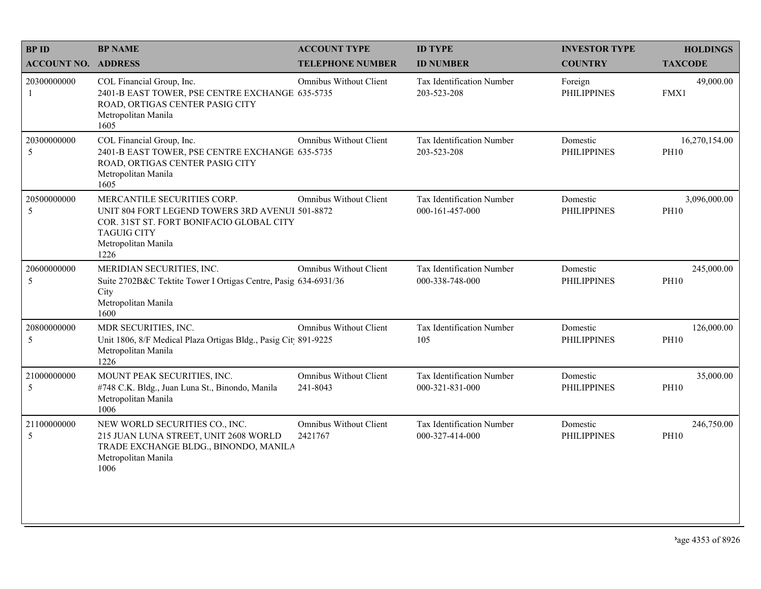| <b>BPID</b>                 | <b>BP NAME</b>                                                                                                                                                                  | <b>ACCOUNT TYPE</b>                       | <b>ID TYPE</b>                               | <b>INVESTOR TYPE</b>           | <b>HOLDINGS</b>              |
|-----------------------------|---------------------------------------------------------------------------------------------------------------------------------------------------------------------------------|-------------------------------------------|----------------------------------------------|--------------------------------|------------------------------|
| <b>ACCOUNT NO. ADDRESS</b>  |                                                                                                                                                                                 | <b>TELEPHONE NUMBER</b>                   | <b>ID NUMBER</b>                             | <b>COUNTRY</b>                 | <b>TAXCODE</b>               |
| 20300000000<br>$\mathbf{1}$ | COL Financial Group, Inc.<br>2401-B EAST TOWER, PSE CENTRE EXCHANGE 635-5735<br>ROAD, ORTIGAS CENTER PASIG CITY<br>Metropolitan Manila<br>1605                                  | <b>Omnibus Without Client</b>             | Tax Identification Number<br>203-523-208     | Foreign<br><b>PHILIPPINES</b>  | 49,000.00<br>FMX1            |
| 20300000000<br>5            | COL Financial Group, Inc.<br>2401-B EAST TOWER, PSE CENTRE EXCHANGE 635-5735<br>ROAD, ORTIGAS CENTER PASIG CITY<br>Metropolitan Manila<br>1605                                  | Omnibus Without Client                    | Tax Identification Number<br>203-523-208     | Domestic<br><b>PHILIPPINES</b> | 16,270,154.00<br><b>PH10</b> |
| 20500000000<br>5            | MERCANTILE SECURITIES CORP.<br>UNIT 804 FORT LEGEND TOWERS 3RD AVENUI 501-8872<br>COR. 31ST ST. FORT BONIFACIO GLOBAL CITY<br><b>TAGUIG CITY</b><br>Metropolitan Manila<br>1226 | <b>Omnibus Without Client</b>             | Tax Identification Number<br>000-161-457-000 | Domestic<br><b>PHILIPPINES</b> | 3,096,000.00<br><b>PH10</b>  |
| 20600000000<br>5            | MERIDIAN SECURITIES, INC.<br>Suite 2702B&C Tektite Tower I Ortigas Centre, Pasig 634-6931/36<br>City<br>Metropolitan Manila<br>1600                                             | Omnibus Without Client                    | Tax Identification Number<br>000-338-748-000 | Domestic<br><b>PHILIPPINES</b> | 245,000.00<br><b>PH10</b>    |
| 20800000000<br>5            | MDR SECURITIES, INC.<br>Unit 1806, 8/F Medical Plaza Ortigas Bldg., Pasig Cit 891-9225<br>Metropolitan Manila<br>1226                                                           | Omnibus Without Client                    | Tax Identification Number<br>105             | Domestic<br><b>PHILIPPINES</b> | 126,000.00<br><b>PH10</b>    |
| 21000000000<br>5            | MOUNT PEAK SECURITIES, INC.<br>#748 C.K. Bldg., Juan Luna St., Binondo, Manila<br>Metropolitan Manila<br>1006                                                                   | <b>Omnibus Without Client</b><br>241-8043 | Tax Identification Number<br>000-321-831-000 | Domestic<br><b>PHILIPPINES</b> | 35,000.00<br><b>PH10</b>     |
| 21100000000<br>5            | NEW WORLD SECURITIES CO., INC.<br>215 JUAN LUNA STREET, UNIT 2608 WORLD<br>TRADE EXCHANGE BLDG., BINONDO, MANILA<br>Metropolitan Manila<br>1006                                 | <b>Omnibus Without Client</b><br>2421767  | Tax Identification Number<br>000-327-414-000 | Domestic<br><b>PHILIPPINES</b> | 246,750.00<br><b>PH10</b>    |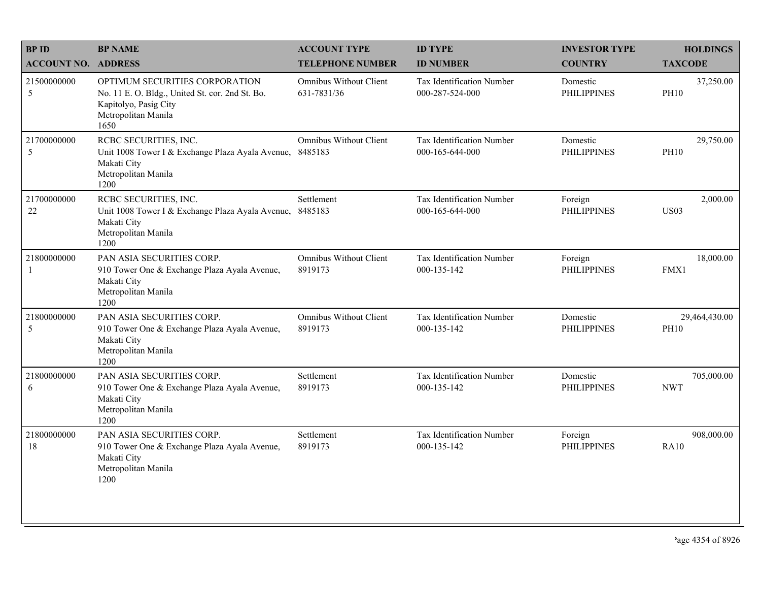| <b>BPID</b>                 | <b>BP NAME</b>                                                                                                                            | <b>ACCOUNT TYPE</b>                      | <b>ID TYPE</b>                                      | <b>INVESTOR TYPE</b>           | <b>HOLDINGS</b>              |
|-----------------------------|-------------------------------------------------------------------------------------------------------------------------------------------|------------------------------------------|-----------------------------------------------------|--------------------------------|------------------------------|
| <b>ACCOUNT NO. ADDRESS</b>  |                                                                                                                                           | <b>TELEPHONE NUMBER</b>                  | <b>ID NUMBER</b>                                    | <b>COUNTRY</b>                 | <b>TAXCODE</b>               |
| 21500000000<br>5            | OPTIMUM SECURITIES CORPORATION<br>No. 11 E. O. Bldg., United St. cor. 2nd St. Bo.<br>Kapitolyo, Pasig City<br>Metropolitan Manila<br>1650 | Omnibus Without Client<br>631-7831/36    | <b>Tax Identification Number</b><br>000-287-524-000 | Domestic<br><b>PHILIPPINES</b> | 37,250.00<br><b>PH10</b>     |
| 21700000000<br>5            | RCBC SECURITIES, INC.<br>Unit 1008 Tower I & Exchange Plaza Ayala Avenue,<br>Makati City<br>Metropolitan Manila<br>1200                   | <b>Omnibus Without Client</b><br>8485183 | Tax Identification Number<br>000-165-644-000        | Domestic<br><b>PHILIPPINES</b> | 29,750.00<br><b>PH10</b>     |
| 21700000000<br>22           | RCBC SECURITIES, INC.<br>Unit 1008 Tower I & Exchange Plaza Ayala Avenue,<br>Makati City<br>Metropolitan Manila<br>1200                   | Settlement<br>8485183                    | Tax Identification Number<br>000-165-644-000        | Foreign<br><b>PHILIPPINES</b>  | 2,000.00<br><b>US03</b>      |
| 21800000000<br>$\mathbf{1}$ | PAN ASIA SECURITIES CORP.<br>910 Tower One & Exchange Plaza Ayala Avenue,<br>Makati City<br>Metropolitan Manila<br>1200                   | <b>Omnibus Without Client</b><br>8919173 | Tax Identification Number<br>000-135-142            | Foreign<br><b>PHILIPPINES</b>  | 18,000.00<br>FMX1            |
| 21800000000<br>5            | PAN ASIA SECURITIES CORP.<br>910 Tower One & Exchange Plaza Ayala Avenue,<br>Makati City<br>Metropolitan Manila<br>1200                   | <b>Omnibus Without Client</b><br>8919173 | Tax Identification Number<br>000-135-142            | Domestic<br><b>PHILIPPINES</b> | 29,464,430.00<br><b>PH10</b> |
| 21800000000<br>6            | PAN ASIA SECURITIES CORP.<br>910 Tower One & Exchange Plaza Ayala Avenue,<br>Makati City<br>Metropolitan Manila<br>1200                   | Settlement<br>8919173                    | Tax Identification Number<br>000-135-142            | Domestic<br><b>PHILIPPINES</b> | 705,000.00<br><b>NWT</b>     |
| 21800000000<br>18           | PAN ASIA SECURITIES CORP.<br>910 Tower One & Exchange Plaza Ayala Avenue,<br>Makati City<br>Metropolitan Manila<br>1200                   | Settlement<br>8919173                    | Tax Identification Number<br>000-135-142            | Foreign<br><b>PHILIPPINES</b>  | 908,000.00<br>RA10           |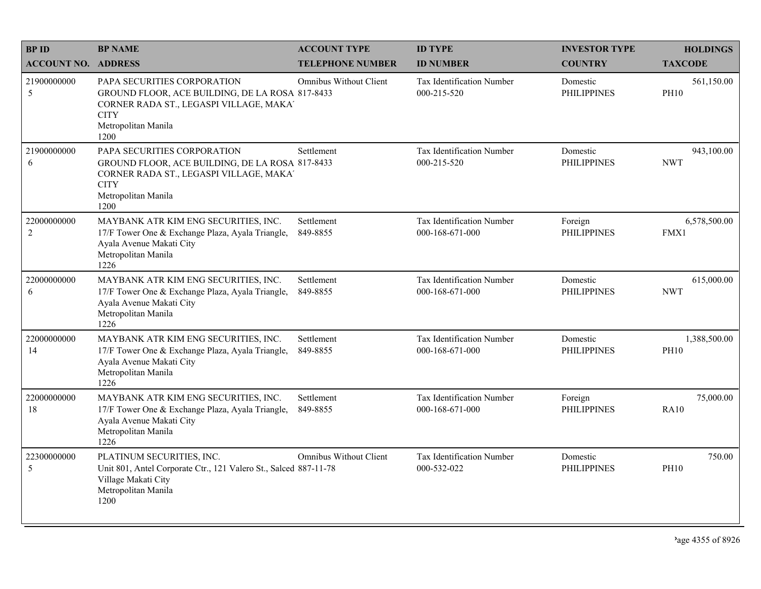| <b>BPID</b>                   | <b>BP NAME</b>                                                                                                                                                          | <b>ACCOUNT TYPE</b>           | <b>ID TYPE</b>                                      | <b>INVESTOR TYPE</b>           | <b>HOLDINGS</b>             |
|-------------------------------|-------------------------------------------------------------------------------------------------------------------------------------------------------------------------|-------------------------------|-----------------------------------------------------|--------------------------------|-----------------------------|
| <b>ACCOUNT NO. ADDRESS</b>    |                                                                                                                                                                         | <b>TELEPHONE NUMBER</b>       | <b>ID NUMBER</b>                                    | <b>COUNTRY</b>                 | <b>TAXCODE</b>              |
| 21900000000<br>5              | PAPA SECURITIES CORPORATION<br>GROUND FLOOR, ACE BUILDING, DE LA ROSA 817-8433<br>CORNER RADA ST., LEGASPI VILLAGE, MAKA'<br><b>CITY</b><br>Metropolitan Manila<br>1200 | <b>Omnibus Without Client</b> | <b>Tax Identification Number</b><br>000-215-520     | Domestic<br><b>PHILIPPINES</b> | 561,150.00<br><b>PH10</b>   |
| 21900000000<br>6              | PAPA SECURITIES CORPORATION<br>GROUND FLOOR, ACE BUILDING, DE LA ROSA 817-8433<br>CORNER RADA ST., LEGASPI VILLAGE, MAKA'<br><b>CITY</b><br>Metropolitan Manila<br>1200 | Settlement                    | Tax Identification Number<br>000-215-520            | Domestic<br><b>PHILIPPINES</b> | 943,100.00<br><b>NWT</b>    |
| 22000000000<br>$\overline{c}$ | MAYBANK ATR KIM ENG SECURITIES, INC.<br>17/F Tower One & Exchange Plaza, Ayala Triangle,<br>Ayala Avenue Makati City<br>Metropolitan Manila<br>1226                     | Settlement<br>849-8855        | <b>Tax Identification Number</b><br>000-168-671-000 | Foreign<br><b>PHILIPPINES</b>  | 6,578,500.00<br>FMX1        |
| 22000000000<br>6              | MAYBANK ATR KIM ENG SECURITIES, INC.<br>17/F Tower One & Exchange Plaza, Ayala Triangle,<br>Ayala Avenue Makati City<br>Metropolitan Manila<br>1226                     | Settlement<br>849-8855        | <b>Tax Identification Number</b><br>000-168-671-000 | Domestic<br><b>PHILIPPINES</b> | 615,000.00<br><b>NWT</b>    |
| 22000000000<br>14             | MAYBANK ATR KIM ENG SECURITIES, INC.<br>17/F Tower One & Exchange Plaza, Ayala Triangle,<br>Ayala Avenue Makati City<br>Metropolitan Manila<br>1226                     | Settlement<br>849-8855        | Tax Identification Number<br>000-168-671-000        | Domestic<br><b>PHILIPPINES</b> | 1,388,500.00<br><b>PH10</b> |
| 22000000000<br>18             | MAYBANK ATR KIM ENG SECURITIES, INC.<br>17/F Tower One & Exchange Plaza, Ayala Triangle,<br>Ayala Avenue Makati City<br>Metropolitan Manila<br>1226                     | Settlement<br>849-8855        | <b>Tax Identification Number</b><br>000-168-671-000 | Foreign<br><b>PHILIPPINES</b>  | 75,000.00<br>RA10           |
| 22300000000<br>5              | PLATINUM SECURITIES, INC.<br>Unit 801, Antel Corporate Ctr., 121 Valero St., Salced 887-11-78<br>Village Makati City<br>Metropolitan Manila<br>1200                     | <b>Omnibus Without Client</b> | Tax Identification Number<br>000-532-022            | Domestic<br><b>PHILIPPINES</b> | 750.00<br><b>PH10</b>       |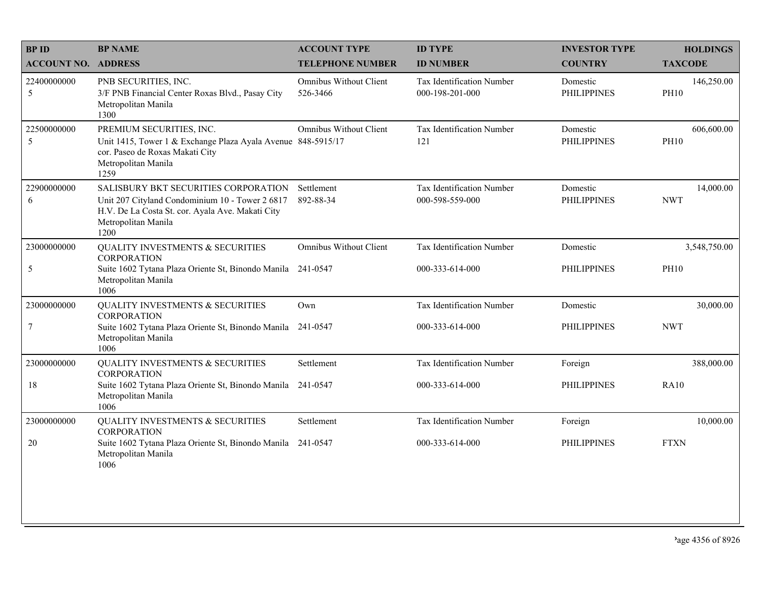| <b>BPID</b>                | <b>BP NAME</b>                                                                                                                                                             | <b>ACCOUNT TYPE</b>                       | <b>ID TYPE</b>                               | <b>INVESTOR TYPE</b>           | <b>HOLDINGS</b>           |
|----------------------------|----------------------------------------------------------------------------------------------------------------------------------------------------------------------------|-------------------------------------------|----------------------------------------------|--------------------------------|---------------------------|
| <b>ACCOUNT NO. ADDRESS</b> |                                                                                                                                                                            | <b>TELEPHONE NUMBER</b>                   | <b>ID NUMBER</b>                             | <b>COUNTRY</b>                 | <b>TAXCODE</b>            |
| 22400000000<br>$\sqrt{5}$  | PNB SECURITIES, INC.<br>3/F PNB Financial Center Roxas Blvd., Pasay City<br>Metropolitan Manila<br>1300                                                                    | <b>Omnibus Without Client</b><br>526-3466 | Tax Identification Number<br>000-198-201-000 | Domestic<br><b>PHILIPPINES</b> | 146,250.00<br><b>PH10</b> |
| 22500000000<br>5           | PREMIUM SECURITIES, INC.<br>Unit 1415, Tower 1 & Exchange Plaza Ayala Avenue 848-5915/17<br>cor. Paseo de Roxas Makati City<br>Metropolitan Manila<br>1259                 | Omnibus Without Client                    | Tax Identification Number<br>121             | Domestic<br><b>PHILIPPINES</b> | 606,600.00<br><b>PH10</b> |
| 22900000000<br>6           | SALISBURY BKT SECURITIES CORPORATION<br>Unit 207 Cityland Condominium 10 - Tower 2 6817<br>H.V. De La Costa St. cor. Ayala Ave. Makati City<br>Metropolitan Manila<br>1200 | Settlement<br>892-88-34                   | Tax Identification Number<br>000-598-559-000 | Domestic<br><b>PHILIPPINES</b> | 14,000.00<br><b>NWT</b>   |
| 23000000000                | QUALITY INVESTMENTS & SECURITIES<br><b>CORPORATION</b>                                                                                                                     | <b>Omnibus Without Client</b>             | Tax Identification Number                    | Domestic                       | 3,548,750.00              |
| $\sqrt{5}$                 | Suite 1602 Tytana Plaza Oriente St, Binondo Manila<br>Metropolitan Manila<br>1006                                                                                          | 241-0547                                  | 000-333-614-000                              | <b>PHILIPPINES</b>             | <b>PH10</b>               |
| 23000000000                | QUALITY INVESTMENTS & SECURITIES<br><b>CORPORATION</b>                                                                                                                     | Own                                       | Tax Identification Number                    | Domestic                       | 30,000.00                 |
| $\overline{7}$             | Suite 1602 Tytana Plaza Oriente St, Binondo Manila 241-0547<br>Metropolitan Manila<br>1006                                                                                 |                                           | 000-333-614-000                              | <b>PHILIPPINES</b>             | <b>NWT</b>                |
| 23000000000                | QUALITY INVESTMENTS & SECURITIES<br><b>CORPORATION</b>                                                                                                                     | Settlement                                | Tax Identification Number                    | Foreign                        | 388,000.00                |
| 18                         | Suite 1602 Tytana Plaza Oriente St, Binondo Manila<br>Metropolitan Manila<br>1006                                                                                          | 241-0547                                  | 000-333-614-000                              | <b>PHILIPPINES</b>             | <b>RA10</b>               |
| 23000000000                | QUALITY INVESTMENTS & SECURITIES<br><b>CORPORATION</b>                                                                                                                     | Settlement                                | Tax Identification Number                    | Foreign                        | 10,000.00                 |
| 20                         | Suite 1602 Tytana Plaza Oriente St, Binondo Manila 241-0547<br>Metropolitan Manila<br>1006                                                                                 |                                           | 000-333-614-000                              | <b>PHILIPPINES</b>             | <b>FTXN</b>               |
|                            |                                                                                                                                                                            |                                           |                                              |                                |                           |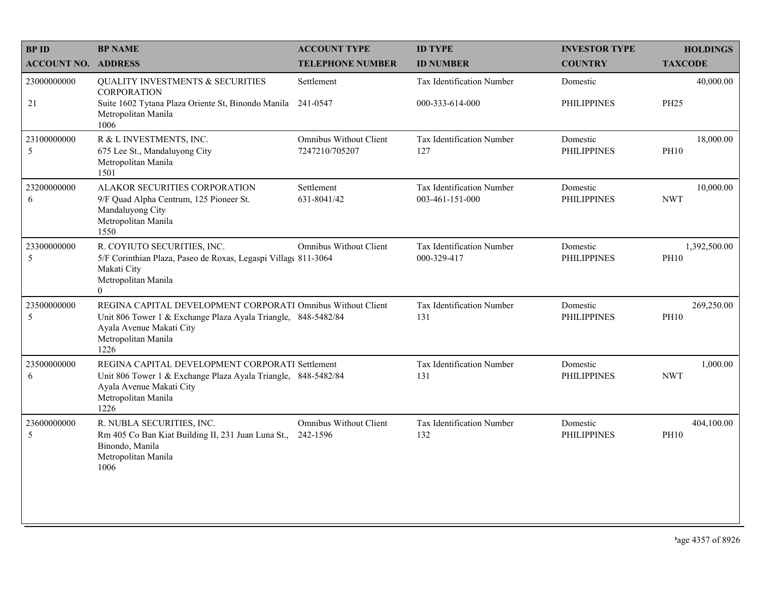| <b>BP ID</b>               | <b>BP NAME</b>                                                                                                                                                                          | <b>ACCOUNT TYPE</b>                             | <b>ID TYPE</b>                                      | <b>INVESTOR TYPE</b>           | <b>HOLDINGS</b>             |
|----------------------------|-----------------------------------------------------------------------------------------------------------------------------------------------------------------------------------------|-------------------------------------------------|-----------------------------------------------------|--------------------------------|-----------------------------|
| <b>ACCOUNT NO. ADDRESS</b> |                                                                                                                                                                                         | <b>TELEPHONE NUMBER</b>                         | <b>ID NUMBER</b>                                    | <b>COUNTRY</b>                 | <b>TAXCODE</b>              |
| 23000000000<br>21          | <b>QUALITY INVESTMENTS &amp; SECURITIES</b><br><b>CORPORATION</b><br>Suite 1602 Tytana Plaza Oriente St, Binondo Manila 241-0547<br>Metropolitan Manila<br>1006                         | Settlement                                      | <b>Tax Identification Number</b><br>000-333-614-000 | Domestic<br><b>PHILIPPINES</b> | 40,000.00<br><b>PH25</b>    |
| 23100000000<br>5           | R & L INVESTMENTS, INC.<br>675 Lee St., Mandaluyong City<br>Metropolitan Manila<br>1501                                                                                                 | <b>Omnibus Without Client</b><br>7247210/705207 | Tax Identification Number<br>127                    | Domestic<br><b>PHILIPPINES</b> | 18,000.00<br><b>PH10</b>    |
| 23200000000<br>6           | ALAKOR SECURITIES CORPORATION<br>9/F Quad Alpha Centrum, 125 Pioneer St.<br>Mandaluyong City<br>Metropolitan Manila<br>1550                                                             | Settlement<br>631-8041/42                       | Tax Identification Number<br>003-461-151-000        | Domestic<br><b>PHILIPPINES</b> | 10,000.00<br><b>NWT</b>     |
| 23300000000<br>5           | R. COYIUTO SECURITIES, INC.<br>5/F Corinthian Plaza, Paseo de Roxas, Legaspi Village 811-3064<br>Makati City<br>Metropolitan Manila<br>$\Omega$                                         | <b>Omnibus Without Client</b>                   | Tax Identification Number<br>000-329-417            | Domestic<br><b>PHILIPPINES</b> | 1,392,500.00<br><b>PH10</b> |
| 23500000000<br>5           | REGINA CAPITAL DEVELOPMENT CORPORATI Omnibus Without Client<br>Unit 806 Tower 1 & Exchange Plaza Ayala Triangle, 848-5482/84<br>Ayala Avenue Makati City<br>Metropolitan Manila<br>1226 |                                                 | Tax Identification Number<br>131                    | Domestic<br><b>PHILIPPINES</b> | 269,250.00<br><b>PH10</b>   |
| 23500000000<br>6           | REGINA CAPITAL DEVELOPMENT CORPORATI Settlement<br>Unit 806 Tower 1 & Exchange Plaza Ayala Triangle, 848-5482/84<br>Ayala Avenue Makati City<br>Metropolitan Manila<br>1226             |                                                 | Tax Identification Number<br>131                    | Domestic<br><b>PHILIPPINES</b> | 1,000.00<br><b>NWT</b>      |
| 23600000000<br>5           | R. NUBLA SECURITIES, INC.<br>Rm 405 Co Ban Kiat Building II, 231 Juan Luna St.,<br>Binondo, Manila<br>Metropolitan Manila<br>1006                                                       | <b>Omnibus Without Client</b><br>242-1596       | Tax Identification Number<br>132                    | Domestic<br><b>PHILIPPINES</b> | 404,100.00<br><b>PH10</b>   |
|                            |                                                                                                                                                                                         |                                                 |                                                     |                                |                             |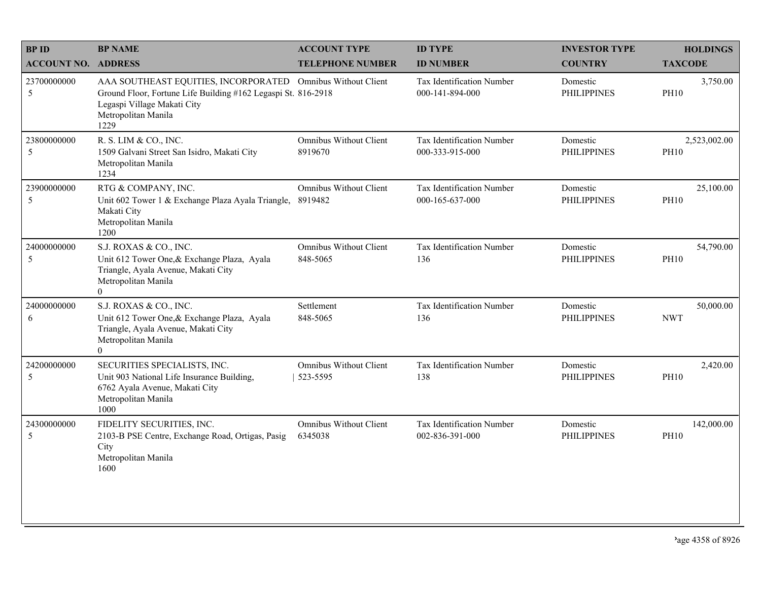| <b>BPID</b>                | <b>BP NAME</b>                                                                                                                                                                             | <b>ACCOUNT TYPE</b>                       | <b>ID TYPE</b>                               | <b>INVESTOR TYPE</b>           | <b>HOLDINGS</b>             |
|----------------------------|--------------------------------------------------------------------------------------------------------------------------------------------------------------------------------------------|-------------------------------------------|----------------------------------------------|--------------------------------|-----------------------------|
| <b>ACCOUNT NO. ADDRESS</b> |                                                                                                                                                                                            | <b>TELEPHONE NUMBER</b>                   | <b>ID NUMBER</b>                             | <b>COUNTRY</b>                 | <b>TAXCODE</b>              |
| 23700000000<br>5           | AAA SOUTHEAST EQUITIES, INCORPORATED Omnibus Without Client<br>Ground Floor, Fortune Life Building #162 Legaspi St. 816-2918<br>Legaspi Village Makati City<br>Metropolitan Manila<br>1229 |                                           | Tax Identification Number<br>000-141-894-000 | Domestic<br><b>PHILIPPINES</b> | 3,750.00<br><b>PH10</b>     |
| 23800000000<br>5           | R. S. LIM & CO., INC.<br>1509 Galvani Street San Isidro, Makati City<br>Metropolitan Manila<br>1234                                                                                        | <b>Omnibus Without Client</b><br>8919670  | Tax Identification Number<br>000-333-915-000 | Domestic<br><b>PHILIPPINES</b> | 2,523,002.00<br><b>PH10</b> |
| 23900000000<br>5           | RTG & COMPANY, INC.<br>Unit 602 Tower 1 & Exchange Plaza Ayala Triangle,<br>Makati City<br>Metropolitan Manila<br>1200                                                                     | <b>Omnibus Without Client</b><br>8919482  | Tax Identification Number<br>000-165-637-000 | Domestic<br><b>PHILIPPINES</b> | 25,100.00<br><b>PH10</b>    |
| 24000000000<br>$\sqrt{5}$  | S.J. ROXAS & CO., INC.<br>Unit 612 Tower One, & Exchange Plaza, Ayala<br>Triangle, Ayala Avenue, Makati City<br>Metropolitan Manila<br>$\overline{0}$                                      | <b>Omnibus Without Client</b><br>848-5065 | Tax Identification Number<br>136             | Domestic<br><b>PHILIPPINES</b> | 54,790.00<br><b>PH10</b>    |
| 24000000000<br>6           | S.J. ROXAS & CO., INC.<br>Unit 612 Tower One, & Exchange Plaza, Ayala<br>Triangle, Ayala Avenue, Makati City<br>Metropolitan Manila<br>$\overline{0}$                                      | Settlement<br>848-5065                    | Tax Identification Number<br>136             | Domestic<br><b>PHILIPPINES</b> | 50,000.00<br><b>NWT</b>     |
| 24200000000<br>5           | SECURITIES SPECIALISTS, INC.<br>Unit 903 National Life Insurance Building,<br>6762 Ayala Avenue, Makati City<br>Metropolitan Manila<br>1000                                                | <b>Omnibus Without Client</b><br>523-5595 | Tax Identification Number<br>138             | Domestic<br><b>PHILIPPINES</b> | 2,420.00<br><b>PH10</b>     |
| 24300000000<br>5           | FIDELITY SECURITIES, INC.<br>2103-B PSE Centre, Exchange Road, Ortigas, Pasig<br>City<br>Metropolitan Manila<br>1600                                                                       | Omnibus Without Client<br>6345038         | Tax Identification Number<br>002-836-391-000 | Domestic<br><b>PHILIPPINES</b> | 142,000.00<br><b>PH10</b>   |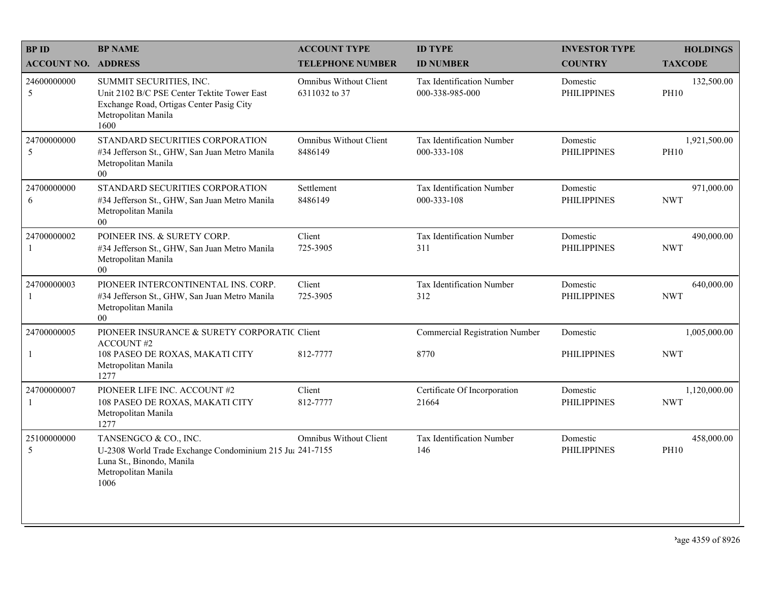| <b>BPID</b>                 | <b>BP NAME</b>                                                                                                                                    | <b>ACCOUNT TYPE</b>                            | <b>ID TYPE</b>                               | <b>INVESTOR TYPE</b>           | <b>HOLDINGS</b>             |
|-----------------------------|---------------------------------------------------------------------------------------------------------------------------------------------------|------------------------------------------------|----------------------------------------------|--------------------------------|-----------------------------|
| <b>ACCOUNT NO. ADDRESS</b>  |                                                                                                                                                   | <b>TELEPHONE NUMBER</b>                        | <b>ID NUMBER</b>                             | <b>COUNTRY</b>                 | <b>TAXCODE</b>              |
| 24600000000<br>5            | SUMMIT SECURITIES, INC.<br>Unit 2102 B/C PSE Center Tektite Tower East<br>Exchange Road, Ortigas Center Pasig City<br>Metropolitan Manila<br>1600 | <b>Omnibus Without Client</b><br>6311032 to 37 | Tax Identification Number<br>000-338-985-000 | Domestic<br><b>PHILIPPINES</b> | 132,500.00<br><b>PH10</b>   |
| 24700000000<br>5            | STANDARD SECURITIES CORPORATION<br>#34 Jefferson St., GHW, San Juan Metro Manila<br>Metropolitan Manila<br>0 <sub>0</sub>                         | Omnibus Without Client<br>8486149              | Tax Identification Number<br>000-333-108     | Domestic<br><b>PHILIPPINES</b> | 1,921,500.00<br><b>PH10</b> |
| 24700000000<br>6            | STANDARD SECURITIES CORPORATION<br>#34 Jefferson St., GHW, San Juan Metro Manila<br>Metropolitan Manila<br>$00\,$                                 | Settlement<br>8486149                          | Tax Identification Number<br>000-333-108     | Domestic<br><b>PHILIPPINES</b> | 971,000.00<br><b>NWT</b>    |
| 24700000002<br>1            | POINEER INS. & SURETY CORP.<br>#34 Jefferson St., GHW, San Juan Metro Manila<br>Metropolitan Manila<br>$00\,$                                     | Client<br>725-3905                             | Tax Identification Number<br>311             | Domestic<br><b>PHILIPPINES</b> | 490,000.00<br><b>NWT</b>    |
| 24700000003<br>$\mathbf{1}$ | PIONEER INTERCONTINENTAL INS. CORP.<br>#34 Jefferson St., GHW, San Juan Metro Manila<br>Metropolitan Manila<br>00                                 | Client<br>725-3905                             | Tax Identification Number<br>312             | Domestic<br><b>PHILIPPINES</b> | 640,000.00<br><b>NWT</b>    |
| 24700000005                 | PIONEER INSURANCE & SURETY CORPORATIC Client<br><b>ACCOUNT#2</b>                                                                                  |                                                | <b>Commercial Registration Number</b>        | Domestic                       | 1,005,000.00                |
| $\mathbf{1}$                | 108 PASEO DE ROXAS, MAKATI CITY<br>Metropolitan Manila<br>1277                                                                                    | 812-7777                                       | 8770                                         | <b>PHILIPPINES</b>             | <b>NWT</b>                  |
| 24700000007<br>1            | PIONEER LIFE INC. ACCOUNT #2<br>108 PASEO DE ROXAS, MAKATI CITY<br>Metropolitan Manila<br>1277                                                    | Client<br>812-7777                             | Certificate Of Incorporation<br>21664        | Domestic<br><b>PHILIPPINES</b> | 1,120,000.00<br><b>NWT</b>  |
| 25100000000<br>5            | TANSENGCO & CO., INC.<br>U-2308 World Trade Exchange Condominium 215 Ju: 241-7155<br>Luna St., Binondo, Manila<br>Metropolitan Manila<br>1006     | <b>Omnibus Without Client</b>                  | Tax Identification Number<br>146             | Domestic<br><b>PHILIPPINES</b> | 458,000.00<br><b>PH10</b>   |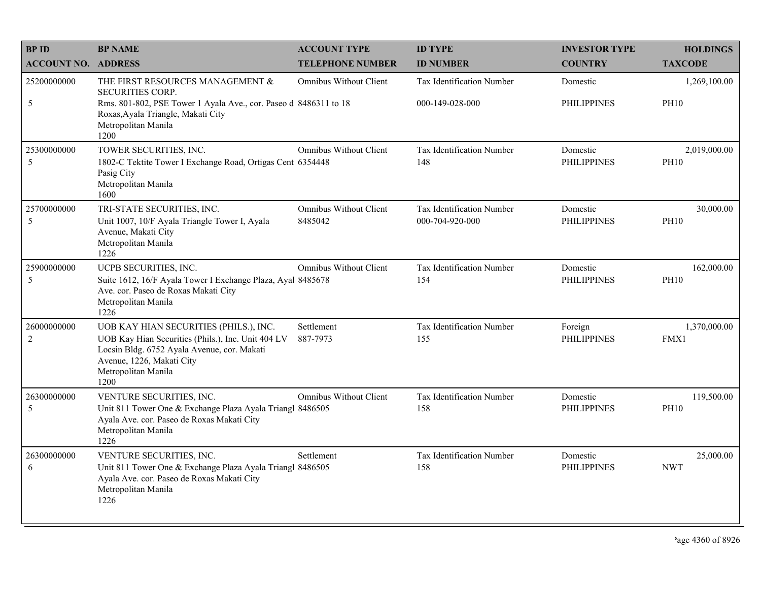| <b>BPID</b>                   | <b>BP NAME</b>                                                                                                                                                                                          | <b>ACCOUNT TYPE</b>                      | <b>ID TYPE</b>                               | <b>INVESTOR TYPE</b>           | <b>HOLDINGS</b>             |
|-------------------------------|---------------------------------------------------------------------------------------------------------------------------------------------------------------------------------------------------------|------------------------------------------|----------------------------------------------|--------------------------------|-----------------------------|
| <b>ACCOUNT NO. ADDRESS</b>    |                                                                                                                                                                                                         | <b>TELEPHONE NUMBER</b>                  | <b>ID NUMBER</b>                             | <b>COUNTRY</b>                 | <b>TAXCODE</b>              |
| 25200000000                   | THE FIRST RESOURCES MANAGEMENT &<br><b>SECURITIES CORP.</b>                                                                                                                                             | Omnibus Without Client                   | Tax Identification Number                    | Domestic                       | 1,269,100.00                |
| 5                             | Rms. 801-802, PSE Tower 1 Ayala Ave., cor. Paseo d 8486311 to 18<br>Roxas, Ayala Triangle, Makati City<br>Metropolitan Manila<br>1200                                                                   |                                          | 000-149-028-000                              | PHILIPPINES                    | <b>PH10</b>                 |
| 25300000000<br>5              | TOWER SECURITIES, INC.<br>1802-C Tektite Tower I Exchange Road, Ortigas Cent 6354448<br>Pasig City<br>Metropolitan Manila<br>1600                                                                       | <b>Omnibus Without Client</b>            | Tax Identification Number<br>148             | Domestic<br><b>PHILIPPINES</b> | 2,019,000.00<br><b>PH10</b> |
| 25700000000<br>5              | TRI-STATE SECURITIES, INC.<br>Unit 1007, 10/F Ayala Triangle Tower I, Ayala<br>Avenue, Makati City<br>Metropolitan Manila<br>1226                                                                       | <b>Omnibus Without Client</b><br>8485042 | Tax Identification Number<br>000-704-920-000 | Domestic<br><b>PHILIPPINES</b> | 30,000.00<br><b>PH10</b>    |
| 25900000000<br>5              | UCPB SECURITIES, INC.<br>Suite 1612, 16/F Ayala Tower I Exchange Plaza, Ayal 8485678<br>Ave. cor. Paseo de Roxas Makati City<br>Metropolitan Manila<br>1226                                             | <b>Omnibus Without Client</b>            | Tax Identification Number<br>154             | Domestic<br><b>PHILIPPINES</b> | 162,000.00<br><b>PH10</b>   |
| 26000000000<br>$\overline{2}$ | UOB KAY HIAN SECURITIES (PHILS.), INC.<br>UOB Kay Hian Securities (Phils.), Inc. Unit 404 LV<br>Locsin Bldg. 6752 Ayala Avenue, cor. Makati<br>Avenue, 1226, Makati City<br>Metropolitan Manila<br>1200 | Settlement<br>887-7973                   | Tax Identification Number<br>155             | Foreign<br><b>PHILIPPINES</b>  | 1,370,000.00<br>FMX1        |
| 26300000000<br>5              | VENTURE SECURITIES, INC.<br>Unit 811 Tower One & Exchange Plaza Ayala Triangl 8486505<br>Ayala Ave. cor. Paseo de Roxas Makati City<br>Metropolitan Manila<br>1226                                      | <b>Omnibus Without Client</b>            | Tax Identification Number<br>158             | Domestic<br><b>PHILIPPINES</b> | 119,500.00<br><b>PH10</b>   |
| 26300000000<br>6              | VENTURE SECURITIES, INC.<br>Unit 811 Tower One & Exchange Plaza Ayala Triangl 8486505<br>Ayala Ave. cor. Paseo de Roxas Makati City<br>Metropolitan Manila<br>1226                                      | Settlement                               | Tax Identification Number<br>158             | Domestic<br><b>PHILIPPINES</b> | 25,000.00<br><b>NWT</b>     |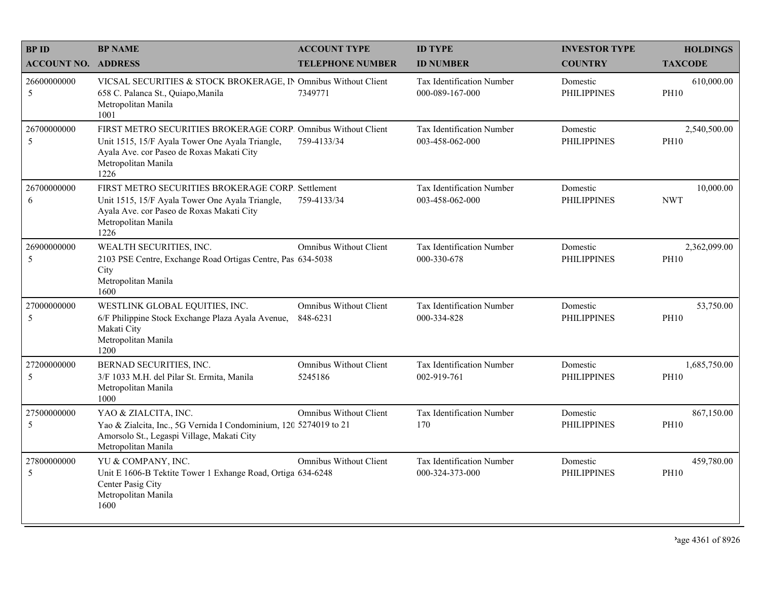| <b>BPID</b>                | <b>BP NAME</b>                                                                                                                                                                               | <b>ACCOUNT TYPE</b>                      | <b>ID TYPE</b>                                      | <b>INVESTOR TYPE</b>           | <b>HOLDINGS</b>             |
|----------------------------|----------------------------------------------------------------------------------------------------------------------------------------------------------------------------------------------|------------------------------------------|-----------------------------------------------------|--------------------------------|-----------------------------|
| <b>ACCOUNT NO. ADDRESS</b> |                                                                                                                                                                                              | <b>TELEPHONE NUMBER</b>                  | <b>ID NUMBER</b>                                    | <b>COUNTRY</b>                 | <b>TAXCODE</b>              |
| 26600000000<br>5           | VICSAL SECURITIES & STOCK BROKERAGE, IN Omnibus Without Client<br>658 C. Palanca St., Quiapo, Manila<br>Metropolitan Manila<br>1001                                                          | 7349771                                  | <b>Tax Identification Number</b><br>000-089-167-000 | Domestic<br><b>PHILIPPINES</b> | 610,000.00<br><b>PH10</b>   |
| 26700000000<br>5           | FIRST METRO SECURITIES BROKERAGE CORP. Omnibus Without Client<br>Unit 1515, 15/F Ayala Tower One Ayala Triangle,<br>Ayala Ave. cor Paseo de Roxas Makati City<br>Metropolitan Manila<br>1226 | 759-4133/34                              | Tax Identification Number<br>003-458-062-000        | Domestic<br><b>PHILIPPINES</b> | 2,540,500.00<br><b>PH10</b> |
| 26700000000<br>6           | FIRST METRO SECURITIES BROKERAGE CORP. Settlement<br>Unit 1515, 15/F Ayala Tower One Ayala Triangle,<br>Ayala Ave. cor Paseo de Roxas Makati City<br>Metropolitan Manila<br>1226             | 759-4133/34                              | Tax Identification Number<br>003-458-062-000        | Domestic<br><b>PHILIPPINES</b> | 10,000.00<br><b>NWT</b>     |
| 26900000000<br>5           | WEALTH SECURITIES, INC.<br>2103 PSE Centre, Exchange Road Ortigas Centre, Pas 634-5038<br>City<br>Metropolitan Manila<br>1600                                                                | <b>Omnibus Without Client</b>            | Tax Identification Number<br>000-330-678            | Domestic<br><b>PHILIPPINES</b> | 2,362,099.00<br><b>PH10</b> |
| 27000000000<br>5           | WESTLINK GLOBAL EQUITIES, INC.<br>6/F Philippine Stock Exchange Plaza Ayala Avenue,<br>Makati City<br>Metropolitan Manila<br>1200                                                            | Omnibus Without Client<br>848-6231       | Tax Identification Number<br>000-334-828            | Domestic<br><b>PHILIPPINES</b> | 53,750.00<br><b>PH10</b>    |
| 27200000000<br>5           | BERNAD SECURITIES, INC.<br>3/F 1033 M.H. del Pilar St. Ermita, Manila<br>Metropolitan Manila<br>1000                                                                                         | <b>Omnibus Without Client</b><br>5245186 | Tax Identification Number<br>002-919-761            | Domestic<br><b>PHILIPPINES</b> | 1,685,750.00<br><b>PH10</b> |
| 27500000000<br>5           | YAO & ZIALCITA, INC.<br>Yao & Zialcita, Inc., 5G Vernida I Condominium, 120 5274019 to 21<br>Amorsolo St., Legaspi Village, Makati City<br>Metropolitan Manila                               | <b>Omnibus Without Client</b>            | Tax Identification Number<br>170                    | Domestic<br><b>PHILIPPINES</b> | 867,150.00<br><b>PH10</b>   |
| 27800000000<br>5           | YU & COMPANY, INC.<br>Unit E 1606-B Tektite Tower 1 Exhange Road, Ortiga 634-6248<br>Center Pasig City<br>Metropolitan Manila<br>1600                                                        | <b>Omnibus Without Client</b>            | Tax Identification Number<br>000-324-373-000        | Domestic<br><b>PHILIPPINES</b> | 459,780.00<br><b>PH10</b>   |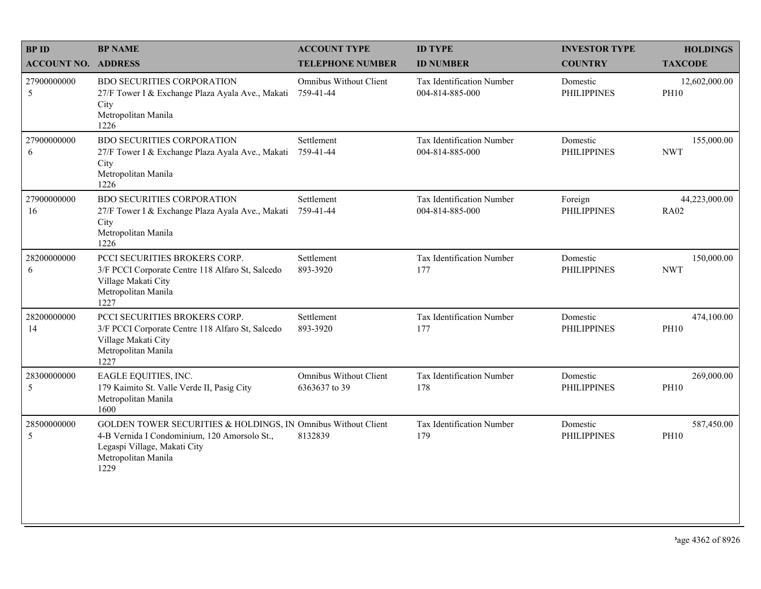| <b>BP NAME</b>                                                                                                                          | <b>ACCOUNT TYPE</b>                            | <b>ID TYPE</b>                                                | <b>INVESTOR TYPE</b>           | <b>HOLDINGS</b>              |
|-----------------------------------------------------------------------------------------------------------------------------------------|------------------------------------------------|---------------------------------------------------------------|--------------------------------|------------------------------|
| <b>ACCOUNT NO. ADDRESS</b>                                                                                                              | <b>TELEPHONE NUMBER</b>                        | <b>ID NUMBER</b>                                              | <b>COUNTRY</b>                 | <b>TAXCODE</b>               |
| <b>BDO SECURITIES CORPORATION</b><br>27/F Tower I & Exchange Plaza Ayala Ave., Makati<br>City<br>Metropolitan Manila<br>1226            | Omnibus Without Client<br>759-41-44            | Tax Identification Number<br>004-814-885-000                  | Domestic<br><b>PHILIPPINES</b> | 12,602,000.00<br><b>PH10</b> |
| <b>BDO SECURITIES CORPORATION</b><br>27/F Tower I & Exchange Plaza Ayala Ave., Makati<br>City<br>Metropolitan Manila<br>1226            | Settlement<br>759-41-44                        | Tax Identification Number<br>004-814-885-000                  | Domestic<br><b>PHILIPPINES</b> | 155,000.00<br><b>NWT</b>     |
| <b>BDO SECURITIES CORPORATION</b><br>27/F Tower I & Exchange Plaza Ayala Ave., Makati<br>City<br>Metropolitan Manila<br>1226            | Settlement<br>759-41-44                        | Tax Identification Number<br>004-814-885-000                  | Foreign<br><b>PHILIPPINES</b>  | 44,223,000.00<br><b>RA02</b> |
| PCCI SECURITIES BROKERS CORP.<br>3/F PCCI Corporate Centre 118 Alfaro St, Salcedo<br>Village Makati City<br>Metropolitan Manila<br>1227 | Settlement<br>893-3920                         | Tax Identification Number<br>177                              | Domestic<br><b>PHILIPPINES</b> | 150,000.00<br><b>NWT</b>     |
| PCCI SECURITIES BROKERS CORP.<br>3/F PCCI Corporate Centre 118 Alfaro St, Salcedo<br>Village Makati City<br>Metropolitan Manila<br>1227 | Settlement<br>893-3920                         | Tax Identification Number<br>177                              | Domestic<br><b>PHILIPPINES</b> | 474,100.00<br><b>PH10</b>    |
| EAGLE EQUITIES, INC.<br>179 Kaimito St. Valle Verde II, Pasig City<br>Metropolitan Manila<br>1600                                       | <b>Omnibus Without Client</b><br>6363637 to 39 | Tax Identification Number<br>178                              | Domestic<br><b>PHILIPPINES</b> | 269,000.00<br><b>PH10</b>    |
| 4-B Vernida I Condominium, 120 Amorsolo St.,<br>Legaspi Village, Makati City<br>Metropolitan Manila<br>1229                             | 8132839                                        | Tax Identification Number<br>179                              | Domestic<br><b>PHILIPPINES</b> | 587,450.00<br><b>PH10</b>    |
|                                                                                                                                         |                                                | GOLDEN TOWER SECURITIES & HOLDINGS, IN Omnibus Without Client |                                |                              |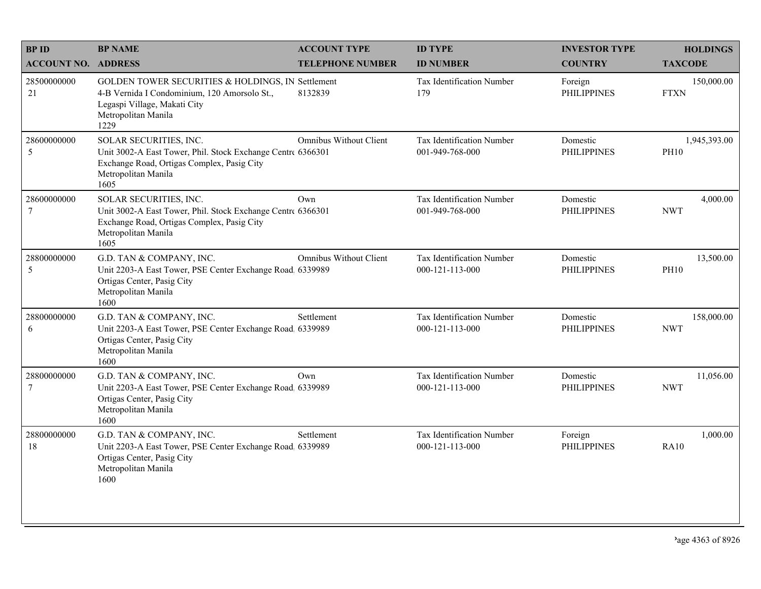| <b>BPID</b>                   | <b>BP NAME</b>                                                                                                                                                     | <b>ACCOUNT TYPE</b>           | <b>ID TYPE</b>                                       | <b>INVESTOR TYPE</b>           | <b>HOLDINGS</b>             |
|-------------------------------|--------------------------------------------------------------------------------------------------------------------------------------------------------------------|-------------------------------|------------------------------------------------------|--------------------------------|-----------------------------|
| <b>ACCOUNT NO. ADDRESS</b>    |                                                                                                                                                                    | <b>TELEPHONE NUMBER</b>       | <b>ID NUMBER</b>                                     | <b>COUNTRY</b>                 | <b>TAXCODE</b>              |
| 28500000000<br>21             | GOLDEN TOWER SECURITIES & HOLDINGS, IN Settlement<br>4-B Vernida I Condominium, 120 Amorsolo St.,<br>Legaspi Village, Makati City<br>Metropolitan Manila<br>1229   | 8132839                       | Tax Identification Number<br>179                     | Foreign<br><b>PHILIPPINES</b>  | 150,000.00<br><b>FTXN</b>   |
| 28600000000<br>5              | SOLAR SECURITIES, INC.<br>Unit 3002-A East Tower, Phil. Stock Exchange Centre 6366301<br>Exchange Road, Ortigas Complex, Pasig City<br>Metropolitan Manila<br>1605 | <b>Omnibus Without Client</b> | Tax Identification Number<br>001-949-768-000         | Domestic<br><b>PHILIPPINES</b> | 1,945,393.00<br><b>PH10</b> |
| 28600000000<br>$\overline{7}$ | SOLAR SECURITIES, INC.<br>Unit 3002-A East Tower, Phil. Stock Exchange Centre 6366301<br>Exchange Road, Ortigas Complex, Pasig City<br>Metropolitan Manila<br>1605 | Own                           | Tax Identification Number<br>001-949-768-000         | Domestic<br><b>PHILIPPINES</b> | 4,000.00<br><b>NWT</b>      |
| 28800000000<br>5              | G.D. TAN & COMPANY, INC.<br>Unit 2203-A East Tower, PSE Center Exchange Road, 6339989<br>Ortigas Center, Pasig City<br>Metropolitan Manila<br>1600                 | <b>Omnibus Without Client</b> | Tax Identification Number<br>$000 - 121 - 113 - 000$ | Domestic<br><b>PHILIPPINES</b> | 13,500.00<br><b>PH10</b>    |
| 28800000000<br>6              | G.D. TAN & COMPANY, INC.<br>Unit 2203-A East Tower, PSE Center Exchange Road. 6339989<br>Ortigas Center, Pasig City<br>Metropolitan Manila<br>1600                 | Settlement                    | Tax Identification Number<br>000-121-113-000         | Domestic<br><b>PHILIPPINES</b> | 158,000.00<br><b>NWT</b>    |
| 28800000000<br>$\overline{7}$ | G.D. TAN & COMPANY, INC.<br>Unit 2203-A East Tower, PSE Center Exchange Road 6339989<br>Ortigas Center, Pasig City<br>Metropolitan Manila<br>1600                  | Own                           | Tax Identification Number<br>000-121-113-000         | Domestic<br><b>PHILIPPINES</b> | 11,056.00<br><b>NWT</b>     |
| 28800000000<br>18             | G.D. TAN & COMPANY, INC.<br>Unit 2203-A East Tower, PSE Center Exchange Road, 6339989<br>Ortigas Center, Pasig City<br>Metropolitan Manila<br>1600                 | Settlement                    | Tax Identification Number<br>000-121-113-000         | Foreign<br><b>PHILIPPINES</b>  | 1,000.00<br><b>RA10</b>     |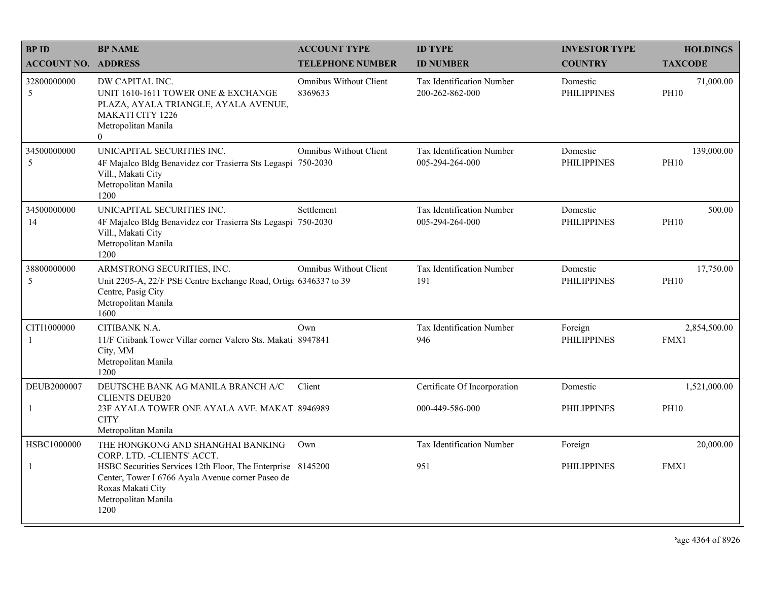| <b>BPID</b>                | <b>BP NAME</b>                                                                                                                                                       | <b>ACCOUNT TYPE</b>               | <b>ID TYPE</b>                                      | <b>INVESTOR TYPE</b>           | <b>HOLDINGS</b>           |
|----------------------------|----------------------------------------------------------------------------------------------------------------------------------------------------------------------|-----------------------------------|-----------------------------------------------------|--------------------------------|---------------------------|
| <b>ACCOUNT NO. ADDRESS</b> |                                                                                                                                                                      | <b>TELEPHONE NUMBER</b>           | <b>ID NUMBER</b>                                    | <b>COUNTRY</b>                 | <b>TAXCODE</b>            |
| 32800000000<br>5           | DW CAPITAL INC.<br>UNIT 1610-1611 TOWER ONE & EXCHANGE<br>PLAZA, AYALA TRIANGLE, AYALA AVENUE,<br><b>MAKATI CITY 1226</b><br>Metropolitan Manila<br>$\Omega$         | Omnibus Without Client<br>8369633 | <b>Tax Identification Number</b><br>200-262-862-000 | Domestic<br><b>PHILIPPINES</b> | 71,000.00<br><b>PH10</b>  |
| 34500000000<br>5           | UNICAPITAL SECURITIES INC.<br>4F Majalco Bldg Benavidez cor Trasierra Sts Legaspi 750-2030<br>Vill., Makati City<br>Metropolitan Manila<br>1200                      | Omnibus Without Client            | Tax Identification Number<br>005-294-264-000        | Domestic<br><b>PHILIPPINES</b> | 139,000.00<br><b>PH10</b> |
| 34500000000<br>14          | UNICAPITAL SECURITIES INC.<br>4F Majalco Bldg Benavidez cor Trasierra Sts Legaspi 750-2030<br>Vill., Makati City<br>Metropolitan Manila<br>1200                      | Settlement                        | <b>Tax Identification Number</b><br>005-294-264-000 | Domestic<br><b>PHILIPPINES</b> | 500.00<br><b>PH10</b>     |
| 38800000000<br>5           | ARMSTRONG SECURITIES, INC.<br>Unit 2205-A, 22/F PSE Centre Exchange Road, Ortiga 6346337 to 39<br>Centre, Pasig City<br>Metropolitan Manila<br>1600                  | <b>Omnibus Without Client</b>     | Tax Identification Number<br>191                    | Domestic<br><b>PHILIPPINES</b> | 17,750.00<br><b>PH10</b>  |
| CITI1000000<br>-1          | CITIBANK N.A.<br>11/F Citibank Tower Villar corner Valero Sts. Makati 8947841<br>City, MM<br>Metropolitan Manila<br>1200                                             | Own                               | Tax Identification Number<br>946                    | Foreign<br><b>PHILIPPINES</b>  | 2,854,500.00<br>FMX1      |
| DEUB2000007                | DEUTSCHE BANK AG MANILA BRANCH A/C                                                                                                                                   | Client                            | Certificate Of Incorporation                        | Domestic                       | 1,521,000.00              |
| -1                         | <b>CLIENTS DEUB20</b><br>23F AYALA TOWER ONE AYALA AVE. MAKAT. 8946989<br><b>CITY</b><br>Metropolitan Manila                                                         |                                   | 000-449-586-000                                     | PHILIPPINES                    | <b>PH10</b>               |
| HSBC1000000                | THE HONGKONG AND SHANGHAI BANKING<br>CORP. LTD. - CLIENTS' ACCT.                                                                                                     | Own                               | <b>Tax Identification Number</b>                    | Foreign                        | 20,000.00                 |
| -1                         | HSBC Securities Services 12th Floor, The Enterprise 8145200<br>Center, Tower I 6766 Ayala Avenue corner Paseo de<br>Roxas Makati City<br>Metropolitan Manila<br>1200 |                                   | 951                                                 | <b>PHILIPPINES</b>             | FMX1                      |